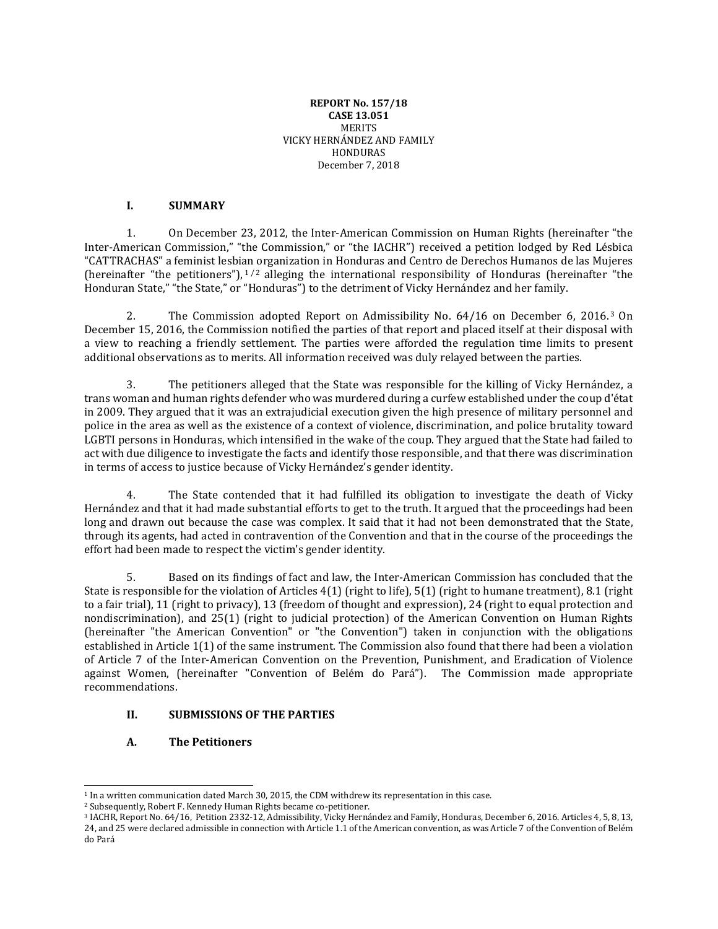#### **REPORT No. 157/18 CASE 13.051 MERITS** VICKY HERNÁNDEZ AND FAMILY HONDURAS December 7, 2018

### **I. SUMMARY**

1. On December 23, 2012, the Inter-American Commission on Human Rights (hereinafter "the Inter-American Commission," "the Commission," or "the IACHR") received a petition lodged by Red Lésbica "CATTRACHAS" a feminist lesbian organization in Honduras and Centro de Derechos Humanos de las Mujeres (hereinafter "the petitioners"),  $1/2$  alleging the international responsibility of Honduras (hereinafter "the Honduran State," "the State," or "Honduras") to the detriment of Vicky Hernández and her family.

2. The Commission adopted Report on Admissibility No. 64/16 on December 6, 2016.<sup>3</sup> On December 15, 2016, the Commission notified the parties of that report and placed itself at their disposal with a view to reaching a friendly settlement. The parties were afforded the regulation time limits to present additional observations as to merits. All information received was duly relayed between the parties.

3. The petitioners alleged that the State was responsible for the killing of Vicky Hernández, a trans woman and human rights defender who was murdered during a curfew established under the coup d'état in 2009. They argued that it was an extrajudicial execution given the high presence of military personnel and police in the area as well as the existence of a context of violence, discrimination, and police brutality toward LGBTI persons in Honduras, which intensified in the wake of the coup. They argued that the State had failed to act with due diligence to investigate the facts and identify those responsible, and that there was discrimination in terms of access to justice because of Vicky Hernández's gender identity.

4. The State contended that it had fulfilled its obligation to investigate the death of Vicky Hernández and that it had made substantial efforts to get to the truth. It argued that the proceedings had been long and drawn out because the case was complex. It said that it had not been demonstrated that the State, through its agents, had acted in contravention of the Convention and that in the course of the proceedings the effort had been made to respect the victim's gender identity.

5. Based on its findings of fact and law, the Inter-American Commission has concluded that the State is responsible for the violation of Articles 4(1) (right to life), 5(1) (right to humane treatment), 8.1 (right to a fair trial), 11 (right to privacy), 13 (freedom of thought and expression), 24 (right to equal protection and nondiscrimination), and 25(1) (right to judicial protection) of the American Convention on Human Rights (hereinafter "the American Convention" or "the Convention") taken in conjunction with the obligations established in Article 1(1) of the same instrument. The Commission also found that there had been a violation of Article 7 of the Inter-American Convention on the Prevention, Punishment, and Eradication of Violence against Women, (hereinafter "Convention of Belém do Pará"). The Commission made appropriate recommendations.

# **II. SUBMISSIONS OF THE PARTIES**

# **A. The Petitioners**

<sup>1</sup> In a written communication dated March 30, 2015, the CDM withdrew its representation in this case.

<sup>2</sup> Subsequently, Robert F. Kennedy Human Rights became co-petitioner.

<sup>3</sup> IACHR, Report No. 64/16, Petition 2332-12, Admissibility, Vicky Hernández and Family, Honduras, December 6, 2016. Articles 4, 5, 8, 13, 24, and 25 were declared admissible in connection with Article 1.1 of the American convention, as was Article 7 of the Convention of Belém do Pará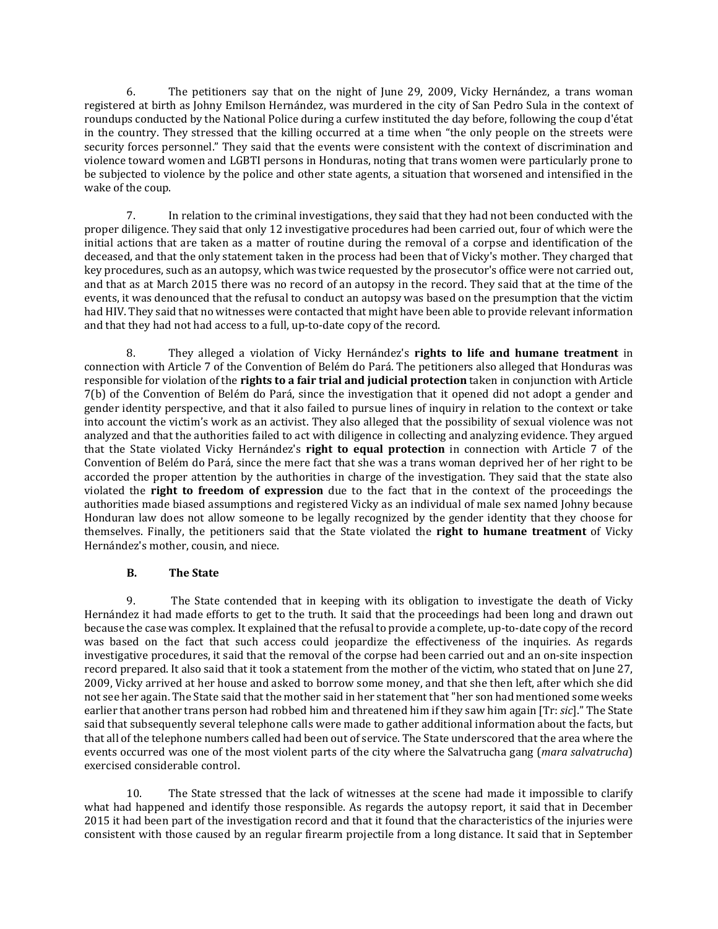6. The petitioners say that on the night of June 29, 2009, Vicky Hernández, a trans woman registered at birth as Johny Emilson Hernández, was murdered in the city of San Pedro Sula in the context of roundups conducted by the National Police during a curfew instituted the day before, following the coup d'état in the country. They stressed that the killing occurred at a time when "the only people on the streets were security forces personnel." They said that the events were consistent with the context of discrimination and violence toward women and LGBTI persons in Honduras, noting that trans women were particularly prone to be subjected to violence by the police and other state agents, a situation that worsened and intensified in the wake of the coup.

7. In relation to the criminal investigations, they said that they had not been conducted with the proper diligence. They said that only 12 investigative procedures had been carried out, four of which were the initial actions that are taken as a matter of routine during the removal of a corpse and identification of the deceased, and that the only statement taken in the process had been that of Vicky's mother. They charged that key procedures, such as an autopsy, which was twice requested by the prosecutor's office were not carried out, and that as at March 2015 there was no record of an autopsy in the record. They said that at the time of the events, it was denounced that the refusal to conduct an autopsy was based on the presumption that the victim had HIV. They said that no witnesses were contacted that might have been able to provide relevant information and that they had not had access to a full, up-to-date copy of the record.

8. They alleged a violation of Vicky Hernández's **rights to life and humane treatment** in connection with Article 7 of the Convention of Belém do Pará. The petitioners also alleged that Honduras was responsible for violation of the **rights to a fair trial and judicial protection** taken in conjunction with Article 7(b) of the Convention of Belém do Pará, since the investigation that it opened did not adopt a gender and gender identity perspective, and that it also failed to pursue lines of inquiry in relation to the context or take into account the victim's work as an activist. They also alleged that the possibility of sexual violence was not analyzed and that the authorities failed to act with diligence in collecting and analyzing evidence. They argued that the State violated Vicky Hernández's **right to equal protection** in connection with Article 7 of the Convention of Belém do Pará, since the mere fact that she was a trans woman deprived her of her right to be accorded the proper attention by the authorities in charge of the investigation. They said that the state also violated the **right to freedom of expression** due to the fact that in the context of the proceedings the authorities made biased assumptions and registered Vicky as an individual of male sex named Johny because Honduran law does not allow someone to be legally recognized by the gender identity that they choose for themselves. Finally, the petitioners said that the State violated the **right to humane treatment** of Vicky Hernández's mother, cousin, and niece.

# **B. The State**

9. The State contended that in keeping with its obligation to investigate the death of Vicky Hernández it had made efforts to get to the truth. It said that the proceedings had been long and drawn out because the case was complex. It explained that the refusal to provide a complete, up-to-date copy of the record was based on the fact that such access could jeopardize the effectiveness of the inquiries. As regards investigative procedures, it said that the removal of the corpse had been carried out and an on-site inspection record prepared. It also said that it took a statement from the mother of the victim, who stated that on June 27, 2009, Vicky arrived at her house and asked to borrow some money, and that she then left, after which she did not see her again. The State said that the mother said in her statement that"her son had mentioned some weeks earlier that another trans person had robbed him and threatened him if they saw him again [Tr: *sic*]." The State said that subsequently several telephone calls were made to gather additional information about the facts, but that all of the telephone numbers called had been out of service. The State underscored that the area where the events occurred was one of the most violent parts of the city where the Salvatrucha gang (*mara salvatrucha*) exercised considerable control.

10. The State stressed that the lack of witnesses at the scene had made it impossible to clarify what had happened and identify those responsible. As regards the autopsy report, it said that in December 2015 it had been part of the investigation record and that it found that the characteristics of the injuries were consistent with those caused by an regular firearm projectile from a long distance. It said that in September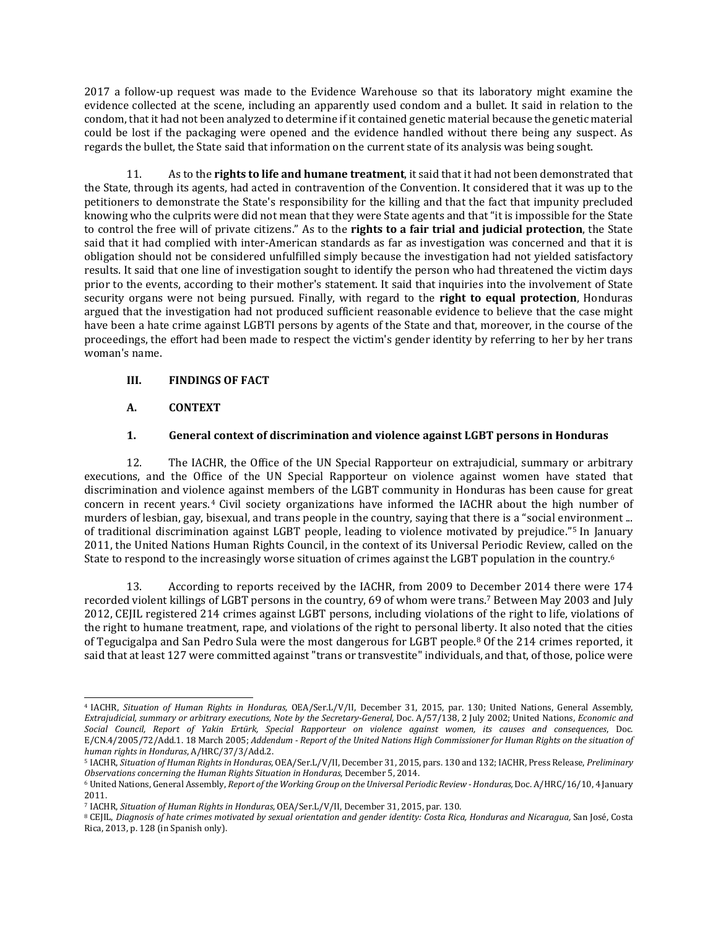2017 a follow-up request was made to the Evidence Warehouse so that its laboratory might examine the evidence collected at the scene, including an apparently used condom and a bullet. It said in relation to the condom, that it had not been analyzed to determine if it contained genetic material because the genetic material could be lost if the packaging were opened and the evidence handled without there being any suspect. As regards the bullet, the State said that information on the current state of its analysis was being sought.

11. As to the **rights to life and humane treatment**, it said that it had not been demonstrated that the State, through its agents, had acted in contravention of the Convention. It considered that it was up to the petitioners to demonstrate the State's responsibility for the killing and that the fact that impunity precluded knowing who the culprits were did not mean that they were State agents and that "it is impossible for the State to control the free will of private citizens." As to the **rights to a fair trial and judicial protection**, the State said that it had complied with inter-American standards as far as investigation was concerned and that it is obligation should not be considered unfulfilled simply because the investigation had not yielded satisfactory results. It said that one line of investigation sought to identify the person who had threatened the victim days prior to the events, according to their mother's statement. It said that inquiries into the involvement of State security organs were not being pursued. Finally, with regard to the **right to equal protection**, Honduras argued that the investigation had not produced sufficient reasonable evidence to believe that the case might have been a hate crime against LGBTI persons by agents of the State and that, moreover, in the course of the proceedings, the effort had been made to respect the victim's gender identity by referring to her by her trans woman's name.

# **III. FINDINGS OF FACT**

# **A. CONTEXT**

 $\overline{\phantom{a}}$ 

# **1. General context of discrimination and violence against LGBT persons in Honduras**

12. The IACHR, the Office of the UN Special Rapporteur on extrajudicial, summary or arbitrary executions, and the Office of the UN Special Rapporteur on violence against women have stated that discrimination and violence against members of the LGBT community in Honduras has been cause for great concern in recent years. <sup>4</sup> Civil society organizations have informed the IACHR about the high number of murders of lesbian, gay, bisexual, and trans people in the country, saying that there is a "social environment ... of traditional discrimination against LGBT people, leading to violence motivated by prejudice."<sup>5</sup> In January 2011, the United Nations Human Rights Council, in the context of its Universal Periodic Review, called on the State to respond to the increasingly worse situation of crimes against the LGBT population in the country.<sup>6</sup>

13. According to reports received by the IACHR, from 2009 to December 2014 there were 174 recorded violent killings of LGBT persons in the country, 69 of whom were trans.<sup>7</sup> Between May 2003 and July 2012, CEJIL registered 214 crimes against LGBT persons, including violations of the right to life, violations of the right to humane treatment, rape, and violations of the right to personal liberty. It also noted that the cities of Tegucigalpa and San Pedro Sula were the most dangerous for LGBT people.<sup>8</sup> Of the 214 crimes reported, it said that at least 127 were committed against"trans or transvestite" individuals, and that, of those, police were

<sup>4</sup> IACHR, *Situation of Human Rights in Honduras,* OEA/Ser.L/V/II, December 31, 2015, par. 130; United Nations, General Assembly, *Extrajudicial, summary or arbitrary executions, Note by the Secretary-General,* Doc. A/57/138, 2 July 2002; United Nations, *Economic and* Social Council, Report of Yakin Ertürk, Special Rapporteur on violence against women, its causes and consequences, Doc. E/CN.4/2005/72/Add.1. 18 March 2005; Addendum - Report of the United Nations High Commissioner for Human Rights on the situation of *human rights in Honduras*, A/HRC/37/3/Add.2.

<sup>5</sup> IACHR, *Situation of Human Rights in Honduras,* OEA/Ser.L/V/II, December 31, 2015, pars. 130 and 132; IACHR, Press Release, *Preliminary Observations concerning the Human Rights Situation in Honduras*, December 5, 2014.

<sup>6</sup> UnitedNations, General Assembly, *Report of the Working Group on the Universal Periodic Review -Honduras,* Doc. A/HRC/16/10, 4 January 2011.

<sup>7</sup> IACHR, *Situation of Human Rights in Honduras,* OEA/Ser.L/V/II, December 31, 2015, par. 130.

<sup>&</sup>lt;sup>8</sup> CEJIL, Diagnosis of hate crimes motivated by sexual [orientation](https://www.cejil.org/sites/default/files/legacy_files/El%20Caso%20de%20Honduras.pdf) and gender identity: Costa Rica, Honduras and Nicaragua, San José, Costa Rica, 2013, p. 128 (in Spanish only).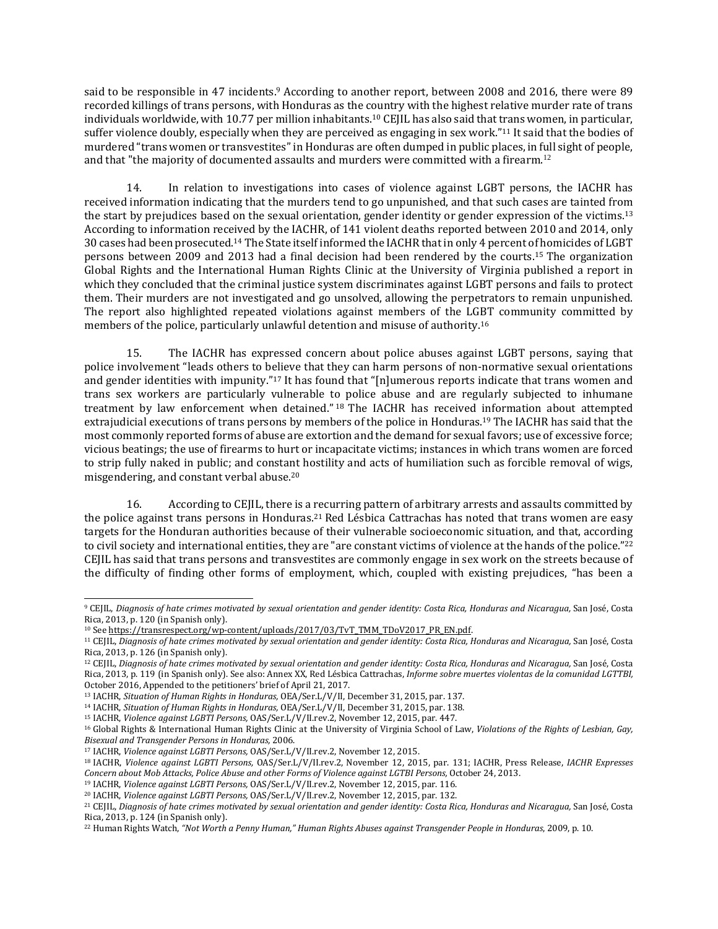said to be responsible in 47 incidents.<sup>9</sup> According to another report, between 2008 and 2016, there were 89 recorded killings of trans persons, with Honduras as the country with the highest relative murder rate of trans individuals worldwide, with 10.77 per million inhabitants.<sup>10</sup> CEJIL has also said that trans women, in particular, suffer violence doubly, especially when they are perceived as engaging in sex work."<sup>11</sup> It said that the bodies of murdered "trans women or transvestites"in Honduras are often dumped in public places, in full sight of people, and that "the majority of documented assaults and murders were committed with a firearm.<sup>12</sup>

14. In relation to investigations into cases of violence against LGBT persons, the IACHR has received information indicating that the murders tend to go unpunished, and that such cases are tainted from the start by prejudices based on the sexual orientation, gender identity or gender expression of the victims.<sup>13</sup> According to information received by the IACHR, of 141 violent deaths reported between 2010 and 2014, only 30 cases had been prosecuted.<sup>14</sup> The State itself informed the IACHR that in only 4 percent of homicides of LGBT persons between 2009 and 2013 had a final decision had been rendered by the courts.<sup>15</sup> The organization Global Rights and the International Human Rights Clinic at the University of Virginia published a report in which they concluded that the criminal justice system discriminates against LGBT persons and fails to protect them. Their murders are not investigated and go unsolved, allowing the perpetrators to remain unpunished. The report also highlighted repeated violations against members of the LGBT community committed by members of the police, particularly unlawful detention and misuse of authority.<sup>16</sup>

15. The IACHR has expressed concern about police abuses against LGBT persons, saying that police involvement "leads others to believe that they can harm persons of non-normative sexual orientations and gender identities with impunity."<sup>17</sup> It has found that "[n]umerous reports indicate that trans women and trans sex workers are particularly vulnerable to police abuse and are regularly subjected to inhumane treatment by law enforcement when detained." <sup>18</sup> The IACHR has received information about attempted extrajudicial executions of trans persons by members of the police in Honduras.<sup>19</sup> The IACHR has said that the most commonly reported forms of abuse are extortion and the demand for sexual favors; use of excessive force; vicious beatings; the use of firearms to hurt or incapacitate victims; instances in which trans women are forced to strip fully naked in public; and constant hostility and acts of humiliation such as forcible removal of wigs, misgendering, and constant verbal abuse.<sup>20</sup>

16. According to CEJIL, there is a recurring pattern of arbitrary arrests and assaults committed by the police against trans persons in Honduras.<sup>21</sup> Red Lésbica Cattrachas has noted that trans women are easy targets for the Honduran authorities because of their vulnerable socioeconomic situation, and that, according to civil society and international entities, they are "are constant victims of violence at the hands of the police."<sup>22</sup> CEJIL has said that trans persons and transvestites are commonly engage in sex work on the streets because of the difficulty of finding other forms of employment, which, coupled with existing prejudices, "has been a

<sup>&</sup>lt;sup>9</sup> CEJIL, Diagnosis of hate crimes motivated by sexual [orientation](https://www.cejil.org/sites/default/files/legacy_files/El%20Caso%20de%20Honduras.pdf) and gender identity: Costa Rica, Honduras and Nicaragua, San José, Costa Rica, 2013, p. 120 (in Spanish only).

<sup>&</sup>lt;sup>10</sup> See [https://transrespect.org/wp-content/uploads/2017/03/TvT\\_TMM\\_TDoV2017\\_PR\\_EN.pdf.](https://transrespect.org/wp-content/uploads/2017/03/TvT_TMM_TDoV2017_PR_EN.pdf)

<sup>&</sup>lt;sup>11</sup> CEJIL, Diagnosis of hate crimes motivated by sexual [orientation](https://www.cejil.org/sites/default/files/legacy_files/El%20Caso%20de%20Honduras.pdf) and gender identity: Costa Rica, Honduras and Nicaragua, San José, Costa Rica, 2013, p. 126 (in Spanish only).

<sup>&</sup>lt;sup>12</sup> CEJIL, Diagnosis of hate crimes motivated by sexual [orientation](https://www.cejil.org/sites/default/files/legacy_files/El%20Caso%20de%20Honduras.pdf) and gender identity: Costa Rica, Honduras and Nicaragua, San José, Costa Rica, 2013, p. 119 (in Spanish only). See also: Annex XX, Red Lésbica Cattrachas, *Informe sobre muertes violentas de la comunidad LGTTBI,* October 2016, Appended to the petitioners' brief of April 21, 2017.

<sup>13</sup> IACHR, *Situation of Human Rights in Honduras,* OEA/Ser.L/V/II, December 31, 2015, par. 137.

<sup>14</sup> IACHR, *Situation of Human Rights in Honduras,* OEA/Ser.L/V/II, December 31, 2015, par. 138.

<sup>15</sup> IACHR, *Violence against LGBTI Persons,* OAS/Ser.L/V/II.rev.2, November 12, 2015, par. 447.

<sup>16</sup> Global Rights & International Human Rights Clinic at the University of Virginia School of Law, *Violations of the Rights of Lesbian, Gay, Bisexual and Transgender Persons in Honduras,* 2006.

<sup>17</sup> IACHR, *Violence against LGBTI Persons,* OAS/Ser.L/V/II.rev.2, November 12, 2015.

<sup>18</sup> IACHR, *Violence against LGBTI Persons,* OAS/Ser.L/V/II.rev.2, November 12, 2015, par. 131; IACHR, Press Release, *IACHR Expresses Concern about Mob Attacks, Police Abuse and other Forms of Violence against LGTBI Persons,* October 24, 2013.

<sup>19</sup> IACHR, *Violence against LGBTI Persons,* OAS/Ser.L/V/II.rev.2, November 12, 2015, par. 116.

<sup>20</sup> IACHR, *Violence against LGBTI Persons,* OAS/Ser.L/V/II.rev.2, November 12, 2015, par. 132.

<sup>&</sup>lt;sup>21</sup> CEJIL, Diagnosis of hate crimes motivated by sexual [orientation](https://www.cejil.org/sites/default/files/legacy_files/El%20Caso%20de%20Honduras.pdf) and gender identity: Costa Rica, Honduras and Nicaragua, San José, Costa Rica, 2013, p. 124 (in Spanish only).

<sup>22</sup> Human Rights Watch, *"Not Worth a Penny Human," Human Rights Abuses against Transgender People in Honduras*, 2009, p. 10.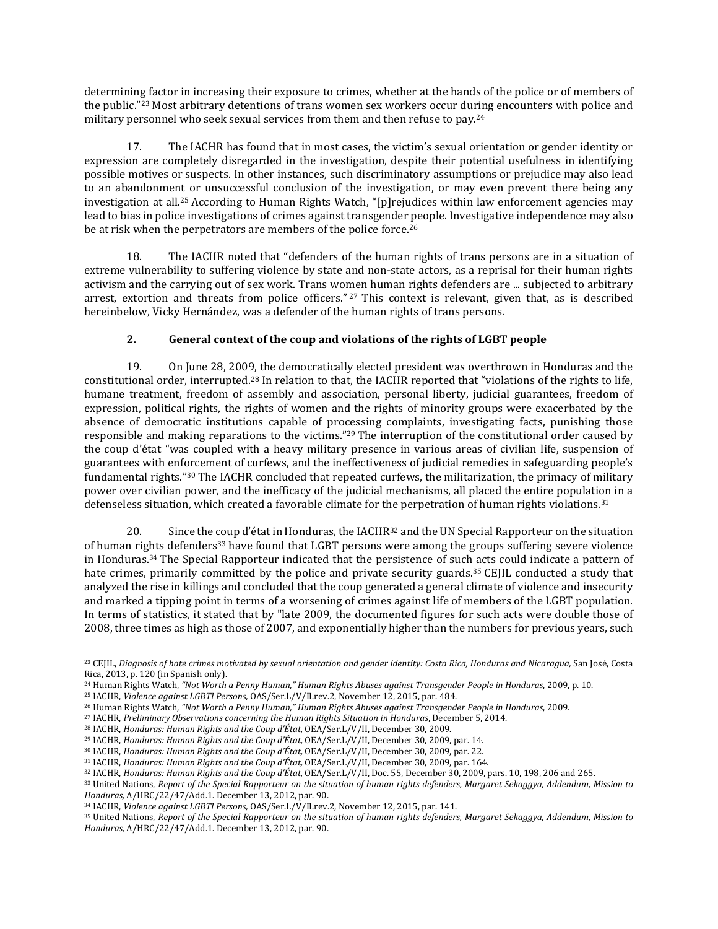determining factor in increasing their exposure to crimes, whether at the hands of the police or of members of the public."<sup>23</sup> Most arbitrary detentions of trans women sex workers occur during encounters with police and military personnel who seek sexual services from them and then refuse to pay.<sup>24</sup>

17. The IACHR has found that in most cases, the victim's sexual orientation or gender identity or expression are completely disregarded in the investigation, despite their potential usefulness in identifying possible motives or suspects. In other instances, such discriminatory assumptions or prejudice may also lead to an abandonment or unsuccessful conclusion of the investigation, or may even prevent there being any investigation at all.<sup>25</sup> According to Human Rights Watch, "[p]rejudices within law enforcement agencies may lead to bias in police investigations of crimes against transgender people. Investigative independence may also be at risk when the perpetrators are members of the police force.<sup>26</sup>

18. The IACHR noted that "defenders of the human rights of trans persons are in a situation of extreme vulnerability to suffering violence by state and non-state actors, as a reprisal for their human rights activism and the carrying out of sex work. Trans women human rights defenders are ... subjected to arbitrary arrest, extortion and threats from police officers." <sup>27</sup> This context is relevant, given that, as is described hereinbelow, Vicky Hernández, was a defender of the human rights of trans persons.

# **2. General context of the coup and violations of the rights of LGBT people**

19. On June 28, 2009, the democratically elected president was overthrown in Honduras and the constitutional order, interrupted.<sup>28</sup> In relation to that, the IACHR reported that "violations of the rights to life, humane treatment, freedom of assembly and association, personal liberty, judicial guarantees, freedom of expression, political rights, the rights of women and the rights of minority groups were exacerbated by the absence of democratic institutions capable of processing complaints, investigating facts, punishing those responsible and making reparations to the victims."<sup>29</sup> The interruption of the constitutional order caused by the coup d'état "was coupled with a heavy military presence in various areas of civilian life, suspension of guarantees with enforcement of curfews, and the ineffectiveness of judicial remedies in safeguarding people's fundamental rights."<sup>30</sup> The IACHR concluded that repeated curfews, the militarization, the primacy of military power over civilian power, and the inefficacy of the judicial mechanisms, all placed the entire population in a defenseless situation, which created a favorable climate for the perpetration of human rights violations.<sup>31</sup>

20. Since the coup d'état in Honduras, the  $IACHR<sup>32</sup>$  and the UN Special Rapporteur on the situation of human rights defenders<sup>33</sup> have found that LGBT persons were among the groups suffering severe violence in Honduras.<sup>34</sup> The Special Rapporteur indicated that the persistence of such acts could indicate a pattern of hate crimes, primarily committed by the police and private security guards.<sup>35</sup> CEJIL conducted a study that analyzed the rise in killings and concluded that the coup generated a general climate of violence and insecurity and marked a tipping point in terms of a worsening of crimes against life of members of the LGBT population. In terms of statistics, it stated that by "late 2009, the documented figures for such acts were double those of 2008, three times as high as those of 2007, and exponentially higher than the numbers for previous years, such

<sup>&</sup>lt;sup>23</sup> CEJIL, Diagnosis of hate crimes motivated by sexual [orientation](https://www.cejil.org/sites/default/files/legacy_files/El%20Caso%20de%20Honduras.pdf) and gender identity: Costa Rica, Honduras and Nicaragua, San José, Costa Rica, 2013, p. 120 (in Spanish only).

<sup>24</sup> Human Rights Watch, *"Not Worth a Penny Human," Human Rights Abuses against Transgender People in Honduras*, 2009, p. 10.

<sup>25</sup> IACHR, *Violence against LGBTI Persons,* OAS/Ser.L/V/II.rev.2, November 12, 2015, par. 484.

<sup>26</sup> Human Rights Watch, *"Not Worth a Penny Human," Human Rights Abuses against Transgender People in Honduras*, 2009.

<sup>27</sup> IACHR, *Preliminary Observations concerning the Human Rights Situation in Honduras*, December 5, 2014.

<sup>28</sup> IACHR, *Honduras: Human Rights and the Coup d'État,* OEA/Ser.L/V/II, December 30, 2009.

<sup>29</sup> IACHR, *Honduras: Human Rights and the Coup d'État,* OEA/Ser.L/V/II, December 30, 2009, par. 14.

<sup>30</sup> IACHR, *Honduras: Human Rights and the Coup d'État,* OEA/Ser.L/V/II, December 30, 2009, par. 22.

<sup>31</sup> IACHR, *Honduras: Human Rights and the Coup d'État,* OEA/Ser.L/V/II, December 30, 2009, par. 164.

<sup>32</sup> IACHR, *Honduras: Human Rights and the Coup d'État,* OEA/Ser.L/V/II, Doc. 55, December 30, 2009, pars. 10, 198, 206 and 265.

<sup>33</sup> United Nations, Report of the Special Rapporteur on the situation of human rights defenders, Margaret Sekaggya, Addendum, Mission to *Honduras,* A/HRC/22/47/Add.1. December 13, 2012, par. 90.

<sup>34</sup> IACHR, *Violence against LGBTI Persons,* OAS/Ser.L/V/II.rev.2, November 12, 2015, par. 141.

<sup>&</sup>lt;sup>35</sup> United Nations, Report of the Special Rapporteur on the situation of human rights defenders, Margaret Sekaggya, Addendum, Mission to *Honduras,* A/HRC/22/47/Add.1. December 13, 2012, par. 90.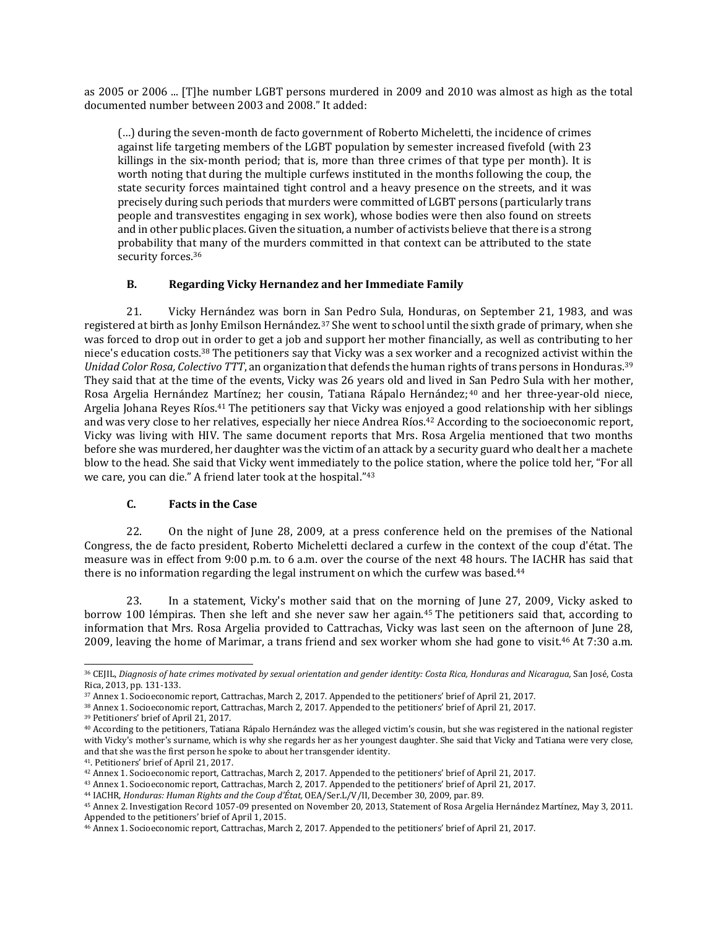as 2005 or 2006 ... [T]he number LGBT persons murdered in 2009 and 2010 was almost as high as the total documented number between 2003 and 2008." It added:

(…) during the seven-month de facto government of Roberto Micheletti, the incidence of crimes against life targeting members of the LGBT population by semester increased fivefold (with 23 killings in the six-month period; that is, more than three crimes of that type per month). It is worth noting that during the multiple curfews instituted in the months following the coup, the state security forces maintained tight control and a heavy presence on the streets, and it was precisely during such periods that murders were committed of LGBT persons (particularly trans people and transvestites engaging in sex work), whose bodies were then also found on streets and in other public places. Given the situation, a number of activists believe that there is a strong probability that many of the murders committed in that context can be attributed to the state security forces.<sup>36</sup>

# **B. Regarding Vicky Hernandez and her Immediate Family**

21. Vicky Hernández was born in San Pedro Sula, Honduras, on September 21, 1983, and was registered at birth as Jonhy Emilson Hernández.<sup>37</sup> She went to school until the sixth grade of primary, when she was forced to drop out in order to get a job and support her mother financially, as well as contributing to her niece's education costs.<sup>38</sup> The petitioners say that Vicky was a sex worker and a recognized activist within the *Unidad Color Rosa, Colectivo TTT*, an organization that defends the human rights of trans persons in Honduras.<sup>39</sup> They said that at the time of the events, Vicky was 26 years old and lived in San Pedro Sula with her mother, Rosa Argelia Hernández Martínez; her cousin, Tatiana Rápalo Hernández; <sup>40</sup> and her three-year-old niece, Argelia Johana Reyes Ríos.<sup>41</sup> The petitioners say that Vicky was enjoyed a good relationship with her siblings and was very close to her relatives, especially her niece Andrea Ríos.<sup>42</sup> According to the socioeconomic report, Vicky was living with HIV. The same document reports that Mrs. Rosa Argelia mentioned that two months before she was murdered, her daughter was the victim of an attack by a security guard who dealt her a machete blow to the head. She said that Vicky went immediately to the police station, where the police told her, "For all we care, you can die." A friend later took at the hospital."<sup>43</sup>

#### **C. Facts in the Case**

22. On the night of June 28, 2009, at a press conference held on the premises of the National Congress, the de facto president, Roberto Micheletti declared a curfew in the context of the coup d'état. The measure was in effect from 9:00 p.m. to 6 a.m. over the course of the next 48 hours. The IACHR has said that there is no information regarding the legal instrument on which the curfew was based.<sup>44</sup>

23. In a statement, Vicky's mother said that on the morning of June 27, 2009, Vicky asked to borrow 100 lémpiras. Then she left and she never saw her again.<sup>45</sup> The petitioners said that, according to information that Mrs. Rosa Argelia provided to Cattrachas, Vicky was last seen on the afternoon of June 28, 2009, leaving the home of Marimar, a trans friend and sex worker whom she had gone to visit.<sup>46</sup> At 7:30 a.m.

<sup>&</sup>lt;sup>36</sup> CEJIL, Diagnosis of hate crimes motivated by sexual [orientation](https://www.cejil.org/sites/default/files/legacy_files/El%20Caso%20de%20Honduras.pdf) and gender identity: Costa Rica, Honduras and Nicaragua, San José, Costa Rica, 2013, pp. 131-133.

<sup>37</sup> Annex 1. Socioeconomic report, Cattrachas, March 2, 2017. Appended to the petitioners' brief of April 21, 2017.

<sup>38</sup> Annex 1. Socioeconomic report, Cattrachas, March 2, 2017. Appended to the petitioners' brief of April 21, 2017.

<sup>39</sup> Petitioners' brief of April 21, 2017.

<sup>40</sup> According to the petitioners, Tatiana Rápalo Hernández was the alleged victim's cousin, but she was registered in the national register with Vicky's mother's surname, which is why she regards her as her youngest daughter. She said that Vicky and Tatiana were very close, and that she was the first person he spoke to about her transgender identity.

<sup>41</sup>. Petitioners' brief of April 21, 2017.

<sup>42</sup> Annex 1. Socioeconomic report, Cattrachas, March 2, 2017. Appended to the petitioners' brief of April 21, 2017.

<sup>43</sup> Annex 1. Socioeconomic report, Cattrachas, March 2, 2017. Appended to the petitioners' brief of April 21, 2017.

<sup>44</sup> IACHR, *Honduras: Human Rights and the Coup d'État,* OEA/Ser.L/V/II, December 30, 2009, par. 89.

<sup>45</sup> Annex 2. Investigation Record 1057-09 presented on November 20, 2013, Statement of Rosa Argelia Hernández Martínez, May 3, 2011. Appended to the petitioners' brief of April 1, 2015.

<sup>46</sup> Annex 1. Socioeconomic report, Cattrachas, March 2, 2017. Appended to the petitioners' brief of April 21, 2017.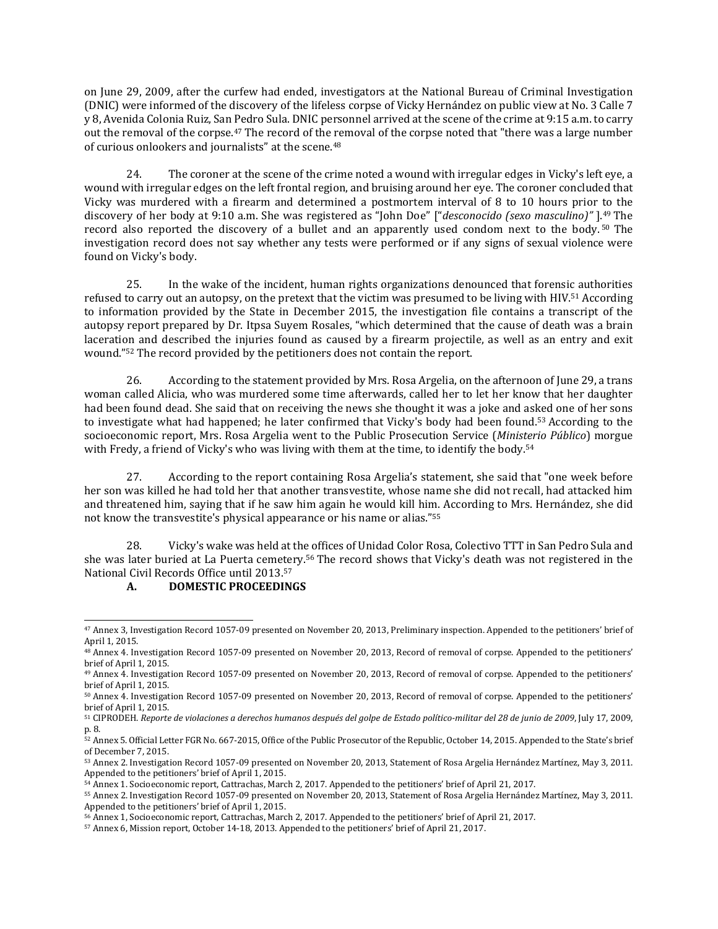on June 29, 2009, after the curfew had ended, investigators at the National Bureau of Criminal Investigation (DNIC) were informed of the discovery of the lifeless corpse of Vicky Hernández on public view at No. 3 Calle 7 y 8, Avenida Colonia Ruiz, San Pedro Sula. DNIC personnel arrived at the scene of the crime at 9:15 a.m. to carry out the removal of the corpse.<sup>47</sup> The record of the removal of the corpse noted that "there was a large number of curious onlookers and journalists" at the scene.<sup>48</sup>

24. The coroner at the scene of the crime noted a wound with irregular edges in Vicky's left eye, a wound with irregular edges on the left frontal region, and bruising around her eye. The coroner concluded that Vicky was murdered with a firearm and determined a postmortem interval of 8 to 10 hours prior to the discovery of her body at 9:10 a.m. She was registered as "John Doe" ["*desconocido (sexo masculino)"* ].<sup>49</sup> The record also reported the discovery of a bullet and an apparently used condom next to the body. <sup>50</sup> The investigation record does not say whether any tests were performed or if any signs of sexual violence were found on Vicky's body.

25. In the wake of the incident, human rights organizations denounced that forensic authorities refused to carry out an autopsy, on the pretext that the victim was presumed to be living with HIV.<sup>51</sup> According to information provided by the State in December 2015, the investigation file contains a transcript of the autopsy report prepared by Dr. Itpsa Suyem Rosales, "which determined that the cause of death was a brain laceration and described the injuries found as caused by a firearm projectile, as well as an entry and exit wound."<sup>52</sup> The record provided by the petitioners does not contain the report.

26. According to the statement provided by Mrs. Rosa Argelia, on the afternoon of June 29, a trans woman called Alicia, who was murdered some time afterwards, called her to let her know that her daughter had been found dead. She said that on receiving the news she thought it was a joke and asked one of her sons to investigate what had happened; he later confirmed that Vicky's body had been found.<sup>53</sup> According to the socioeconomic report, Mrs. Rosa Argelia went to the Public Prosecution Service (*Ministerio Público*) morgue with Fredy, a friend of Vicky's who was living with them at the time, to identify the body.<sup>54</sup>

27. According to the report containing Rosa Argelia's statement, she said that "one week before her son was killed he had told her that another transvestite, whose name she did not recall, had attacked him and threatened him, saying that if he saw him again he would kill him. According to Mrs. Hernández, she did not know the transvestite's physical appearance or his name or alias."<sup>55</sup>

28. Vicky's wake was held at the offices of Unidad Color Rosa, Colectivo TTT in San Pedro Sula and she was later buried at La Puerta cemetery.<sup>56</sup> The record shows that Vicky's death was not registered in the National Civil Records Office until 2013.<sup>57</sup>

# **A. DOMESTIC PROCEEDINGS**

<sup>47</sup> Annex 3, Investigation Record 1057-09 presented on November 20, 2013, Preliminary inspection. Appended to the petitioners' brief of April 1, 2015.

<sup>48</sup> Annex 4. Investigation Record 1057-09 presented on November 20, 2013, Record of removal of corpse. Appended to the petitioners' brief of April 1, 2015.

<sup>49</sup> Annex 4. Investigation Record 1057-09 presented on November 20, 2013, Record of removal of corpse. Appended to the petitioners' brief of April 1, 2015.

<sup>50</sup> Annex 4. Investigation Record 1057-09 presented on November 20, 2013, Record of removal of corpse. Appended to the petitioners' brief of April 1, 2015.

<sup>&</sup>lt;sup>51</sup> CIPRODEH. Reporte de violaciones a derechos humanos después del golpe de Estado político-militar del 28 de junio de 2009, July 17, 2009, p. 8.

<sup>52</sup> Annex 5. Official Letter FGR No. 667-2015, Office of the Public Prosecutor of the Republic, October 14, 2015. Appended to the State's brief of December 7, 2015.

<sup>53</sup> Annex 2. Investigation Record 1057-09 presented on November 20, 2013, Statement of Rosa Argelia Hernández Martínez, May 3, 2011. Appended to the petitioners' brief of April 1, 2015.

<sup>54</sup> Annex 1. Socioeconomic report, Cattrachas, March 2, 2017. Appended to the petitioners' brief of April 21, 2017.

<sup>55</sup> Annex 2. Investigation Record 1057-09 presented on November 20, 2013, Statement of Rosa Argelia Hernández Martínez, May 3, 2011. Appended to the petitioners' brief of April 1, 2015.

<sup>56</sup> Annex 1, Socioeconomic report, Cattrachas, March 2, 2017. Appended to the petitioners' brief of April 21, 2017.

<sup>57</sup> Annex 6, Mission report, October 14-18, 2013. Appended to the petitioners' brief of April 21, 2017.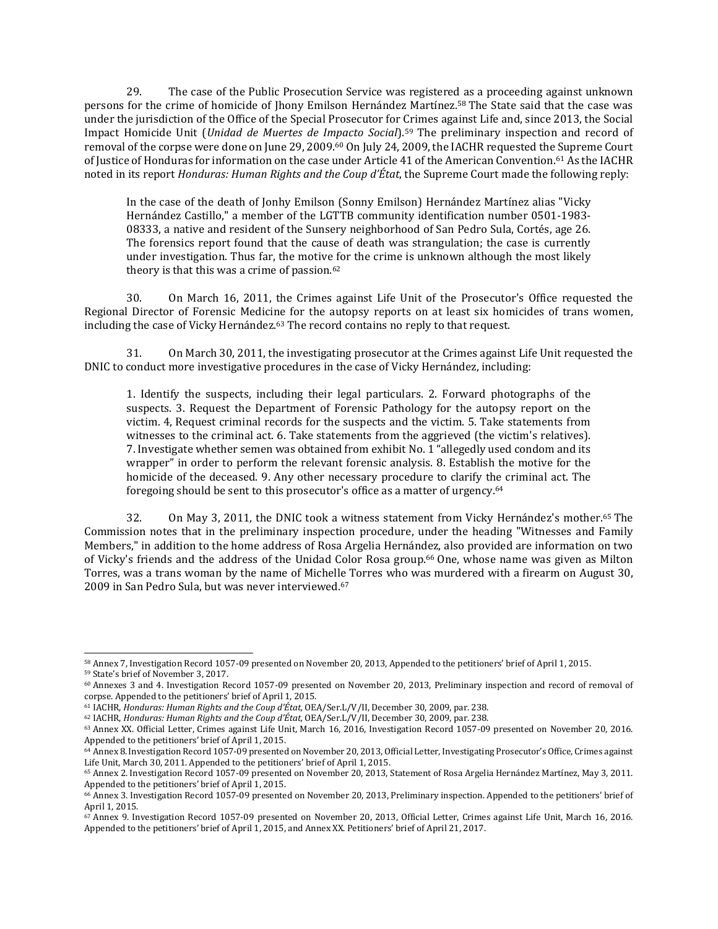29. The case of the Public Prosecution Service was registered as a proceeding against unknown persons for the crime of homicide of Jhony Emilson Hernández Martínez.<sup>58</sup> The State said that the case was under the jurisdiction of the Office of the Special Prosecutor for Crimes against Life and, since 2013, the Social Impact Homicide Unit (*Unidad de Muertes de Impacto Social*).<sup>59</sup> The preliminary inspection and record of removal of the corpse were done on June 29, 2009.<sup>60</sup> On July 24, 2009, the IACHR requested the Supreme Court of Justice of Honduras for information on the case under Article 41 of the American Convention.<sup>61</sup> As the IACHR noted in its report *Honduras: Human Rights and the Coup d'État*, the Supreme Court made the following reply:

In the case of the death of Jonhy Emilson (Sonny Emilson) Hernández Martínez alias "Vicky Hernández Castillo," a member of the LGTTB community identification number 0501‐1983‐ 08333, a native and resident of the Sunsery neighborhood of San Pedro Sula, Cortés, age 26. The forensics report found that the cause of death was strangulation; the case is currently under investigation. Thus far, the motive for the crime is unknown although the most likely theory is that this was a crime of passion. $62$ 

30. On March 16, 2011, the Crimes against Life Unit of the Prosecutor's Office requested the Regional Director of Forensic Medicine for the autopsy reports on at least six homicides of trans women, including the case of Vicky Hernández.<sup>63</sup> The record contains no reply to that request.

31. On March 30, 2011, the investigating prosecutor at the Crimes against Life Unit requested the DNIC to conduct more investigative procedures in the case of Vicky Hernández, including:

1. Identify the suspects, including their legal particulars. 2. Forward photographs of the suspects. 3. Request the Department of Forensic Pathology for the autopsy report on the victim. 4, Request criminal records for the suspects and the victim. 5. Take statements from witnesses to the criminal act. 6. Take statements from the aggrieved (the victim's relatives). 7. Investigate whether semen was obtained from exhibit No. 1 "allegedly used condom and its wrapper" in order to perform the relevant forensic analysis. 8. Establish the motive for the homicide of the deceased. 9. Any other necessary procedure to clarify the criminal act. The foregoing should be sent to this prosecutor's office as a matter of urgency.<sup>64</sup>

32. On May 3, 2011, the DNIC took a witness statement from Vicky Hernández's mother.<sup>65</sup> The Commission notes that in the preliminary inspection procedure, under the heading "Witnesses and Family Members," in addition to the home address of Rosa Argelia Hernández, also provided are information on two of Vicky's friends and the address of the Unidad Color Rosa group.<sup>66</sup> One, whose name was given as Milton Torres, was a trans woman by the name of Michelle Torres who was murdered with a firearm on August 30, 2009 in San Pedro Sula, but was never interviewed.<sup>67</sup>

<sup>58</sup> Annex 7, Investigation Record 1057-09 presented on November 20, 2013, Appended to the petitioners' brief of April 1, 2015. <sup>59</sup> State's brief of November 3, 2017.

<sup>60</sup> Annexes 3 and 4. Investigation Record 1057-09 presented on November 20, 2013, Preliminary inspection and record of removal of corpse. Appended to the petitioners' brief of April 1, 2015.

<sup>61</sup> IACHR, *Honduras: Human Rights and the Coup d'État,* OEA/Ser.L/V/II, December 30, 2009, par. 238.

<sup>62</sup> IACHR, *Honduras: Human Rights and the Coup d'État,* OEA/Ser.L/V/II, December 30, 2009, par. 238.

<sup>63</sup> Annex XX. Official Letter, Crimes against Life Unit, March 16, 2016, Investigation Record 1057-09 presented on November 20, 2016. Appended to the petitioners' brief of April 1, 2015.

<sup>64</sup> Annex 8. Investigation Record 1057-09 presented on November 20, 2013, Official Letter, Investigating Prosecutor's Office, Crimes against Life Unit, March 30, 2011. Appended to the petitioners' brief of April 1, 2015.

<sup>65</sup> Annex 2. Investigation Record 1057-09 presented on November 20, 2013, Statement of Rosa Argelia Hernández Martínez, May 3, 2011. Appended to the petitioners' brief of April 1, 2015.

<sup>66</sup> Annex 3. Investigation Record 1057-09 presented on November 20, 2013, Preliminary inspection. Appended to the petitioners' brief of April 1, 2015.

<sup>67</sup> Annex 9. Investigation Record 1057-09 presented on November 20, 2013, Official Letter, Crimes against Life Unit, March 16, 2016. Appended to the petitioners' brief of April 1, 2015, and Annex XX. Petitioners' brief of April 21, 2017.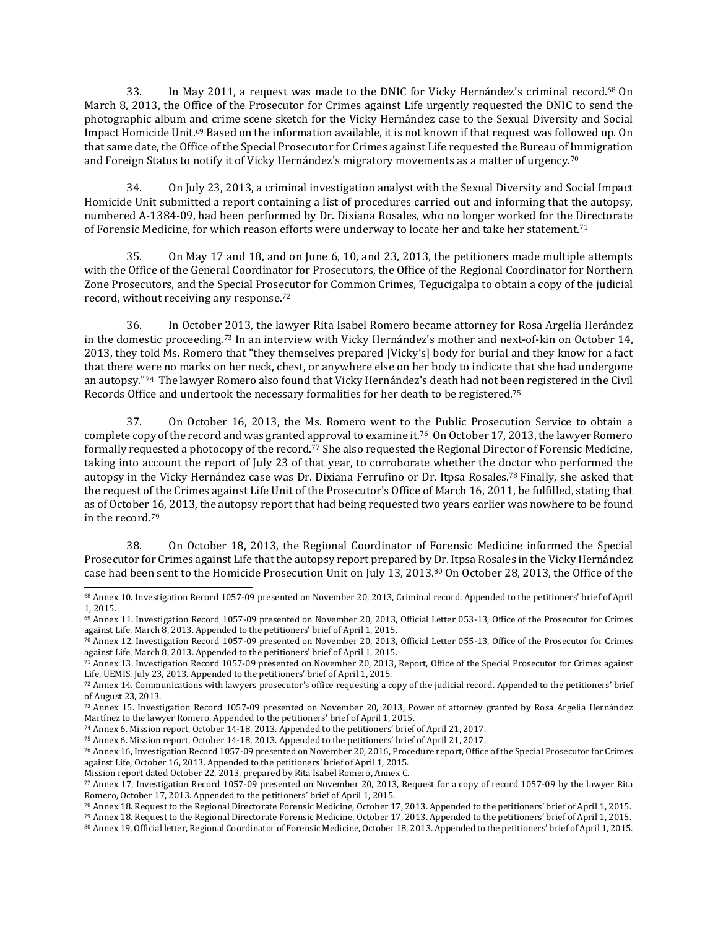33. In May 2011, a request was made to the DNIC for Vicky Hernández's criminal record.<sup>68</sup> On March 8, 2013, the Office of the Prosecutor for Crimes against Life urgently requested the DNIC to send the photographic album and crime scene sketch for the Vicky Hernández case to the Sexual Diversity and Social Impact Homicide Unit.<sup>69</sup> Based on the information available, it is not known if that request was followed up. On that same date, the Office of the Special Prosecutor for Crimes against Life requested the Bureau of Immigration and Foreign Status to notify it of Vicky Hernández's migratory movements as a matter of urgency.<sup>70</sup>

34. On July 23, 2013, a criminal investigation analyst with the Sexual Diversity and Social Impact Homicide Unit submitted a report containing a list of procedures carried out and informing that the autopsy, numbered A-1384-09, had been performed by Dr. Dixiana Rosales, who no longer worked for the Directorate of Forensic Medicine, for which reason efforts were underway to locate her and take her statement.<sup>71</sup>

35. On May 17 and 18, and on June 6, 10, and 23, 2013, the petitioners made multiple attempts with the Office of the General Coordinator for Prosecutors, the Office of the Regional Coordinator for Northern Zone Prosecutors, and the Special Prosecutor for Common Crimes, Tegucigalpa to obtain a copy of the judicial record, without receiving any response.<sup>72</sup>

36. In October 2013, the lawyer Rita Isabel Romero became attorney for Rosa Argelia Herández in the domestic proceeding.<sup>73</sup> In an interview with Vicky Hernández's mother and next-of-kin on October 14, 2013, they told Ms. Romero that "they themselves prepared [Vicky's] body for burial and they know for a fact that there were no marks on her neck, chest, or anywhere else on her body to indicate that she had undergone an autopsy."74 The lawyer Romero also found that Vicky Hernández's death had not been registered in the Civil Records Office and undertook the necessary formalities for her death to be registered.<sup>75</sup>

37. On October 16, 2013, the Ms. Romero went to the Public Prosecution Service to obtain a complete copy of the record and was granted approval to examine it.<sup>76</sup> On October 17, 2013, the lawyer Romero formally requested a photocopy of the record.<sup>77</sup> She also requested the Regional Director of Forensic Medicine, taking into account the report of July 23 of that year, to corroborate whether the doctor who performed the autopsy in the Vicky Hernández case was Dr. Dixiana Ferrufino or Dr. Itpsa Rosales.<sup>78</sup> Finally, she asked that the request of the Crimes against Life Unit of the Prosecutor's Office of March 16, 2011, be fulfilled, stating that as of October 16, 2013, the autopsy report that had being requested two years earlier was nowhere to be found in the record.<sup>79</sup>

38. On October 18, 2013, the Regional Coordinator of Forensic Medicine informed the Special Prosecutor for Crimes against Life that the autopsy report prepared by Dr. Itpsa Rosales in the Vicky Hernández case had been sent to the Homicide Prosecution Unit on July 13, 2013.<sup>80</sup> On October 28, 2013, the Office of the

<sup>68</sup> Annex 10. Investigation Record 1057-09 presented on November 20, 2013, Criminal record. Appended to the petitioners' brief of April 1, 2015.

<sup>69</sup> Annex 11. Investigation Record 1057-09 presented on November 20, 2013, Official Letter 053-13, Office of the Prosecutor for Crimes against Life, March 8, 2013. Appended to the petitioners' brief of April 1, 2015.

<sup>70</sup> Annex 12. Investigation Record 1057-09 presented on November 20, 2013, Official Letter 055-13, Office of the Prosecutor for Crimes against Life, March 8, 2013. Appended to the petitioners' brief of April 1, 2015.

<sup>71</sup> Annex 13. Investigation Record 1057-09 presented on November 20, 2013, Report, Office of the Special Prosecutor for Crimes against Life, UEMIS, July 23, 2013. Appended to the petitioners' brief of April 1, 2015.

<sup>72</sup> Annex 14. Communications with lawyers prosecutor's office requesting a copy of the judicial record. Appended to the petitioners' brief of August 23, 2013.

<sup>73</sup> Annex 15. Investigation Record 1057-09 presented on November 20, 2013, Power of attorney granted by Rosa Argelia Hernández Martínez to the lawyer Romero. Appended to the petitioners' brief of April 1, 2015.

<sup>74</sup> Annex 6. Mission report, October 14-18, 2013. Appended to the petitioners' brief of April 21, 2017.

<sup>75</sup> Annex 6. Mission report, October 14-18, 2013. Appended to the petitioners' brief of April 21, 2017.

<sup>76</sup> Annex 16, Investigation Record 1057-09 presented on November 20, 2016, Procedure report, Office of the Special Prosecutor for Crimes against Life, October 16, 2013. Appended to the petitioners' brief of April 1, 2015.

Mission report dated October 22, 2013, prepared by Rita Isabel Romero, Annex C.

<sup>77</sup> Annex 17, Investigation Record 1057-09 presented on November 20, 2013, Request for a copy of record 1057-09 by the lawyer Rita Romero, October 17, 2013. Appended to the petitioners' brief of April 1, 2015.

<sup>78</sup> Annex 18. Request to the Regional Directorate Forensic Medicine, October 17, 2013. Appended to the petitioners' brief of April 1, 2015.

<sup>79</sup> Annex 18. Request to the Regional Directorate Forensic Medicine, October 17, 2013. Appended to the petitioners' brief of April 1, 2015.

<sup>80</sup> Annex 19, Official letter, Regional Coordinator of Forensic Medicine, October 18, 2013. Appended to the petitioners' brief of April 1, 2015.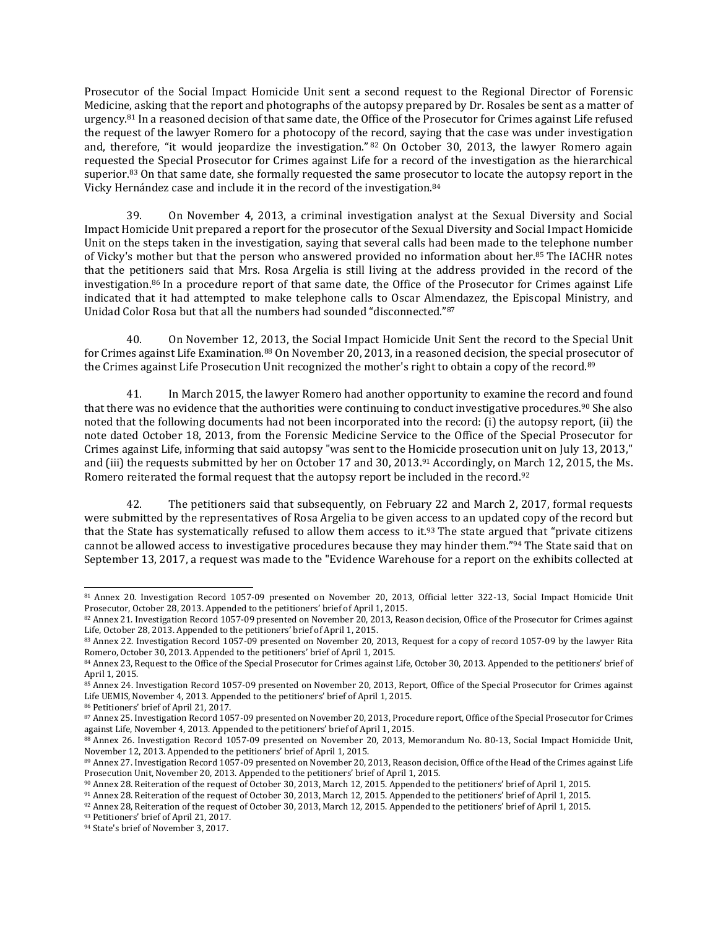Prosecutor of the Social Impact Homicide Unit sent a second request to the Regional Director of Forensic Medicine, asking that the report and photographs of the autopsy prepared by Dr. Rosales be sent as a matter of urgency.<sup>81</sup> In a reasoned decision of that same date, the Office of the Prosecutor for Crimes against Life refused the request of the lawyer Romero for a photocopy of the record, saying that the case was under investigation and, therefore, "it would jeopardize the investigation." 82 On October 30, 2013, the lawyer Romero again requested the Special Prosecutor for Crimes against Life for a record of the investigation as the hierarchical superior.<sup>83</sup> On that same date, she formally requested the same prosecutor to locate the autopsy report in the Vicky Hernández case and include it in the record of the investigation.<sup>84</sup>

39. On November 4, 2013, a criminal investigation analyst at the Sexual Diversity and Social Impact Homicide Unit prepared a report for the prosecutor of the Sexual Diversity and Social Impact Homicide Unit on the steps taken in the investigation, saying that several calls had been made to the telephone number of Vicky's mother but that the person who answered provided no information about her.<sup>85</sup> The IACHR notes that the petitioners said that Mrs. Rosa Argelia is still living at the address provided in the record of the investigation.<sup>86</sup> In a procedure report of that same date, the Office of the Prosecutor for Crimes against Life indicated that it had attempted to make telephone calls to Oscar Almendazez, the Episcopal Ministry, and Unidad Color Rosa but that all the numbers had sounded "disconnected."<sup>87</sup>

40. On November 12, 2013, the Social Impact Homicide Unit Sent the record to the Special Unit for Crimes against Life Examination.<sup>88</sup> On November 20, 2013, in a reasoned decision, the special prosecutor of the Crimes against Life Prosecution Unit recognized the mother's right to obtain a copy of the record.<sup>89</sup>

41. In March 2015, the lawyer Romero had another opportunity to examine the record and found that there was no evidence that the authorities were continuing to conduct investigative procedures.<sup>90</sup> She also noted that the following documents had not been incorporated into the record: (i) the autopsy report, (ii) the note dated October 18, 2013, from the Forensic Medicine Service to the Office of the Special Prosecutor for Crimes against Life, informing that said autopsy "was sent to the Homicide prosecution unit on July 13, 2013," and (iii) the requests submitted by her on October 17 and 30, 2013.<sup>91</sup> Accordingly, on March 12, 2015, the Ms. Romero reiterated the formal request that the autopsy report be included in the record.<sup>92</sup>

42. The petitioners said that subsequently, on February 22 and March 2, 2017, formal requests were submitted by the representatives of Rosa Argelia to be given access to an updated copy of the record but that the State has systematically refused to allow them access to it.<sup>93</sup> The state argued that "private citizens" cannot be allowed access to investigative procedures because they may hinder them."<sup>94</sup> The State said that on September 13, 2017, a request was made to the "Evidence Warehouse for a report on the exhibits collected at

 $\overline{\phantom{a}}$ <sup>81</sup> Annex 20. Investigation Record 1057-09 presented on November 20, 2013, Official letter 322-13, Social Impact Homicide Unit Prosecutor, October 28, 2013. Appended to the petitioners' brief of April 1, 2015.

<sup>82</sup> Annex 21. Investigation Record 1057-09 presented on November 20, 2013, Reason decision, Office of the Prosecutor for Crimes against Life, October 28, 2013. Appended to the petitioners' brief of April 1, 2015.

<sup>83</sup> Annex 22. Investigation Record 1057-09 presented on November 20, 2013, Request for a copy of record 1057-09 by the lawyer Rita Romero, October 30, 2013. Appended to the petitioners' brief of April 1, 2015.

<sup>84</sup> Annex 23, Request to the Office of the Special Prosecutor for Crimes against Life, October 30, 2013. Appended to the petitioners' brief of April 1, 2015.

<sup>85</sup> Annex 24. Investigation Record 1057-09 presented on November 20, 2013, Report, Office of the Special Prosecutor for Crimes against Life UEMIS, November 4, 2013. Appended to the petitioners' brief of April 1, 2015.

<sup>86</sup> Petitioners' brief of April 21, 2017.

<sup>87</sup> Annex 25. Investigation Record 1057-09 presented on November 20, 2013, Procedure report, Office of the Special Prosecutor for Crimes against Life, November 4, 2013. Appended to the petitioners' brief of April 1, 2015.

<sup>88</sup> Annex 26. Investigation Record 1057-09 presented on November 20, 2013, Memorandum No. 80-13, Social Impact Homicide Unit, November 12, 2013. Appended to the petitioners' brief of April 1, 2015.

<sup>89</sup> Annex 27. Investigation Record 1057-09 presented on November 20, 2013, Reason decision, Office of the Head of the Crimes against Life Prosecution Unit, November 20, 2013. Appended to the petitioners' brief of April 1, 2015.

<sup>90</sup> Annex 28. Reiteration of the request of October 30, 2013, March 12, 2015. Appended to the petitioners' brief of April 1, 2015.

<sup>91</sup> Annex 28. Reiteration of the request of October 30, 2013, March 12, 2015. Appended to the petitioners' brief of April 1, 2015.

<sup>92</sup> Annex 28, Reiteration of the request of October 30, 2013, March 12, 2015. Appended to the petitioners' brief of April 1, 2015.

<sup>93</sup> Petitioners' brief of April 21, 2017.

<sup>94</sup> State's brief of November 3, 2017.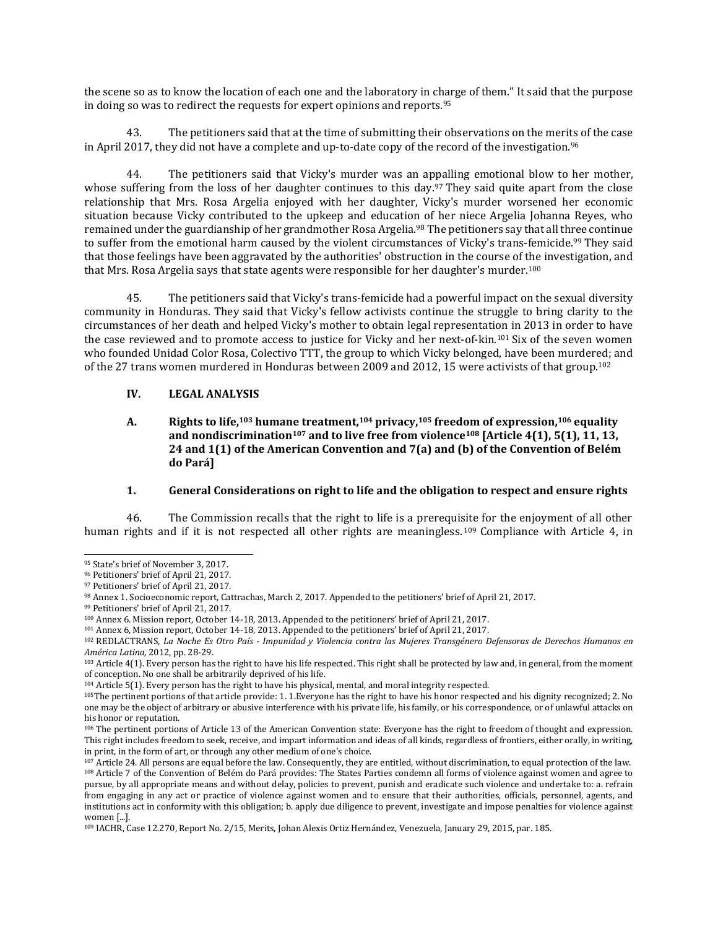the scene so as to know the location of each one and the laboratory in charge of them." It said that the purpose in doing so was to redirect the requests for expert opinions and reports.<sup>95</sup>

43. The petitioners said that at the time of submitting their observations on the merits of the case in April 2017, they did not have a complete and up-to-date copy of the record of the investigation.<sup>96</sup>

44. The petitioners said that Vicky's murder was an appalling emotional blow to her mother, whose suffering from the loss of her daughter continues to this day.<sup>97</sup> They said quite apart from the close relationship that Mrs. Rosa Argelia enjoyed with her daughter, Vicky's murder worsened her economic situation because Vicky contributed to the upkeep and education of her niece Argelia Johanna Reyes, who remained under the guardianship of her grandmother Rosa Argelia.<sup>98</sup> The petitioners say that all three continue to suffer from the emotional harm caused by the violent circumstances of Vicky's trans-femicide.<sup>99</sup> They said that those feelings have been aggravated by the authorities' obstruction in the course of the investigation, and that Mrs. Rosa Argelia says that state agents were responsible for her daughter's murder.<sup>100</sup>

45. The petitioners said that Vicky's trans-femicide had a powerful impact on the sexual diversity community in Honduras. They said that Vicky's fellow activists continue the struggle to bring clarity to the circumstances of her death and helped Vicky's mother to obtain legal representation in 2013 in order to have the case reviewed and to promote access to justice for Vicky and her next-of-kin.<sup>101</sup> Six of the seven women who founded Unidad Color Rosa, Colectivo TTT, the group to which Vicky belonged, have been murdered; and of the 27 trans women murdered in Honduras between 2009 and 2012, 15 were activists of that group.<sup>102</sup>

### **IV. LEGAL ANALYSIS**

**A. Rights to life,<sup>103</sup> humane treatment,<sup>104</sup> privacy,<sup>105</sup> freedom of expression,<sup>106</sup> equality and nondiscrimination<sup>107</sup> and to live free from violence<sup>108</sup> [Article 4(1), 5(1), 11, 13, 24 and 1(1) of the American Convention and 7(a) and (b) of the Convention of Belém do Pará]**

#### **1. General Considerations on right to life and the obligation to respect and ensure rights**

46. The Commission recalls that the right to life is a prerequisite for the enjoyment of all other human rights and if it is not respected all other rights are meaningless.<sup>109</sup> Compliance with Article 4, in

<sup>95</sup> State's brief of November 3, 2017.

<sup>96</sup> Petitioners' brief of April 21, 2017.

<sup>97</sup> Petitioners' brief of April 21, 2017.

<sup>98</sup> Annex 1. Socioeconomic report, Cattrachas, March 2, 2017. Appended to the petitioners' brief of April 21, 2017.

<sup>99</sup> Petitioners' brief of April 21, 2017.

<sup>100</sup> Annex 6. Mission report, October 14-18, 2013. Appended to the petitioners' brief of April 21, 2017.

<sup>101</sup> Annex 6, Mission report, October 14-18, 2013. Appended to the petitioners' brief of April 21, 2017.

<sup>102</sup> REDLACTRANS, La Noche Es Otro País - Impunidad y Violencia contra las Mujeres Transgénero Defensoras de Derechos Humanos en *América Latina,* 2012, pp. 28-29.

<sup>&</sup>lt;sup>103</sup> Article 4(1). Every person has the right to have his life respected. This right shall be protected by law and, in general, from the moment of conception. No one shall be arbitrarily deprived of his life.

<sup>104</sup> Article 5(1). Every person has the right to have his physical, mental, and moral integrity respected.

<sup>105</sup>The pertinent portions of that article provide: 1. 1.Everyone has the right to have his honor respected and his dignity recognized; 2. No one may be the object of arbitrary or abusive interference with his private life, his family, or his correspondence, or of unlawful attacks on his honor or reputation.

<sup>106</sup> The pertinent portions of Article 13 of the American Convention state: Everyone has the right to freedom of thought and expression. This right includes freedom to seek, receive, and impart information and ideas of all kinds, regardless of frontiers, either orally, in writing, in print, in the form of art, or through any other medium of one's choice.

 $107$  Article 24. All persons are equal before the law. Consequently, they are entitled, without discrimination, to equal protection of the law. <sup>108</sup> Article 7 of the Convention of Belém do Pará provides: The States Parties condemn all forms of violence against women and agree to pursue, by all appropriate means and without delay, policies to prevent, punish and eradicate such violence and undertake to: a. refrain from engaging in any act or practice of violence against women and to ensure that their authorities, officials, personnel, agents, and institutions act in conformity with this obligation; b. apply due diligence to prevent, investigate and impose penalties for violence against women [...].

<sup>109</sup> IACHR, Case 12.270, Report No. 2/15, Merits, Johan Alexis Ortiz Hernández, Venezuela, January 29, 2015, par. 185.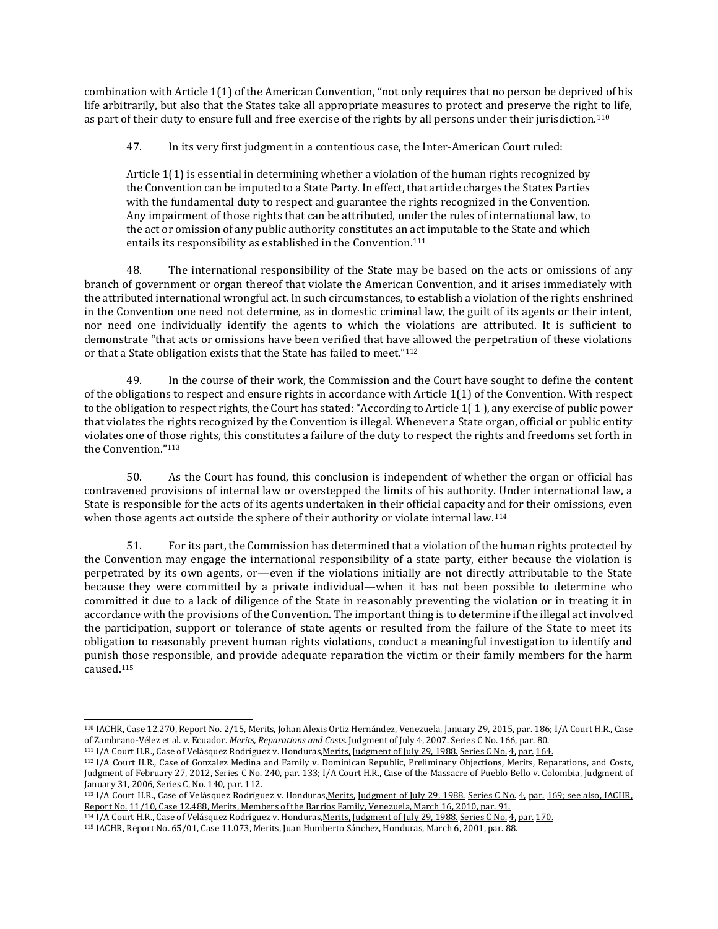combination with Article 1(1) of the American Convention, "not only requires that no person be deprived of his life arbitrarily, but also that the States take all appropriate measures to protect and preserve the right to life, as part of their duty to ensure full and free exercise of the rights by all persons under their jurisdiction.<sup>110</sup>

47. In its very first judgment in a contentious case, the Inter-American Court ruled:

Article 1(1) is essential in determining whether a violation of the human rights recognized by the Convention can be imputed to a State Party. In effect, that article charges the States Parties with the fundamental duty to respect and guarantee the rights recognized in the Convention. Any impairment of those rights that can be attributed, under the rules of international law, to the act or omission of any public authority constitutes an act imputable to the State and which entails its responsibility as established in the Convention.<sup>111</sup>

48. The international responsibility of the State may be based on the acts or omissions of any branch of government or organ thereof that violate the American Convention, and it arises immediately with the attributed international wrongful act. In such circumstances, to establish a violation of the rights enshrined in the Convention one need not determine, as in domestic criminal law, the guilt of its agents or their intent, nor need one individually identify the agents to which the violations are attributed. It is sufficient to demonstrate "that acts or omissions have been verified that have allowed the perpetration of these violations or that a State obligation exists that the State has failed to meet."<sup>112</sup>

49. In the course of their work, the Commission and the Court have sought to define the content of the obligations to respect and ensure rights in accordance with Article 1(1) of the Convention. With respect to the obligation to respect rights, the Court has stated: "According to Article 1( 1 ), any exercise of public power that violates the rights recognized by the Convention is illegal. Whenever a State organ, official or public entity violates one of those rights, this constitutes a failure of the duty to respect the rights and freedoms set forth in the Convention."<sup>113</sup>

50. As the Court has found, this conclusion is independent of whether the organ or official has contravened provisions of internal law or overstepped the limits of his authority. Under international law, a State is responsible for the acts of its agents undertaken in their official capacity and for their omissions, even when those agents act outside the sphere of their authority or violate internal law.<sup>114</sup>

51. For its part, the Commission has determined that a violation of the human rights protected by the Convention may engage the international responsibility of a state party, either because the violation is perpetrated by its own agents, or—even if the violations initially are not directly attributable to the State because they were committed by a private individual—when it has not been possible to determine who committed it due to a lack of diligence of the State in reasonably preventing the violation or in treating it in accordance with the provisions of the Convention. The important thing is to determine if the illegal act involved the participation, support or tolerance of state agents or resulted from the failure of the State to meet its obligation to reasonably prevent human rights violations, conduct a meaningful investigation to identify and punish those responsible, and provide adequate reparation the victim or their family members for the harm caused.<sup>115</sup>

<sup>110</sup> IACHR, Case 12.270, Report No. 2/15, Merits, Johan Alexis Ortiz Hernández, Venezuela, January 29, 2015, par. 186; I/A Court H.R., Case of Zambrano-Vélez et al. v. Ecuador. *Merits, Reparations and Costs.* Judgment of July 4, 2007. Series C No. 166, par. 80.

<sup>111</sup> I/A Court H.R., Case of Velásquez Rodríguez v. Honduras, Merits, [Judgment](http://joomla.corteidh.or.cr:8080/joomla/es/casos-contenciosos/38-jurisprudencia/192-corte-idh-caso-velasquez-rodriguez-vs-honduras-fondo-sentencia-de-29-de-julio-de-1988-serie-c-no-4) of July 29, 1988. Series C No. 4, par. 164.

<sup>112</sup> I/A Court H.R., Case of Gonzalez Medina and Family v. Dominican Republic, Preliminary Objections, Merits, [Reparations,](http://joomla.corteidh.or.cr:8080/joomla/es/jurisprudencia-oc-avanzado/38-jurisprudencia/1572-corte-idh-caso-gonzalez-medina-y-familiares-vs-republica-dominicana-excepciones-preliminares-fondo-reparaciones-y-costas-sentencia-de-27-de-febrero-de-2012-serie-c-no-240) and Costs, [Judgment](http://joomla.corteidh.or.cr:8080/joomla/es/jurisprudencia-oc-avanzado/38-jurisprudencia/1572-corte-idh-caso-gonzalez-medina-y-familiares-vs-republica-dominicana-excepciones-preliminares-fondo-reparaciones-y-costas-sentencia-de-27-de-febrero-de-2012-serie-c-no-240) of February 27, 2012, Series C No. 240, par. 133; I/A Court H.R., Case of the Massacre of Pueblo Bello v. Colombia, Judgment of January 31, 2006, Series C, No. 140, par. 112.

<sup>113</sup> I/A Court H.R., Case of Velásquez Rodríguez v. Honduras, Merits, [Judgment](http://joomla.corteidh.or.cr:8080/joomla/es/casos-contenciosos/38-jurisprudencia/192-corte-idh-caso-velasquez-rodriguez-vs-honduras-fondo-sentencia-de-29-de-julio-de-1988-serie-c-no-4) of July 29, 1988. Series C No. 4, par. 169; see also, IACHR, Report No. 11/10, Case 12.488, Merits, Members of the Barrios Family, Venezuela, March 16, 2010, par. 91.

<sup>114</sup> I/A Court H.R., Case of Velásquez Rodríguez v. Honduras,Merits, [Judgment](http://joomla.corteidh.or.cr:8080/joomla/es/casos-contenciosos/38-jurisprudencia/192-corte-idh-caso-velasquez-rodriguez-vs-honduras-fondo-sentencia-de-29-de-julio-de-1988-serie-c-no-4) of July 29, 1988. Series C No. 4, par. 170.

<sup>115</sup> IACHR, Report No. 65/01, Case 11.073, Merits, Juan Humberto Sánchez, Honduras, March 6, 2001, par. 88.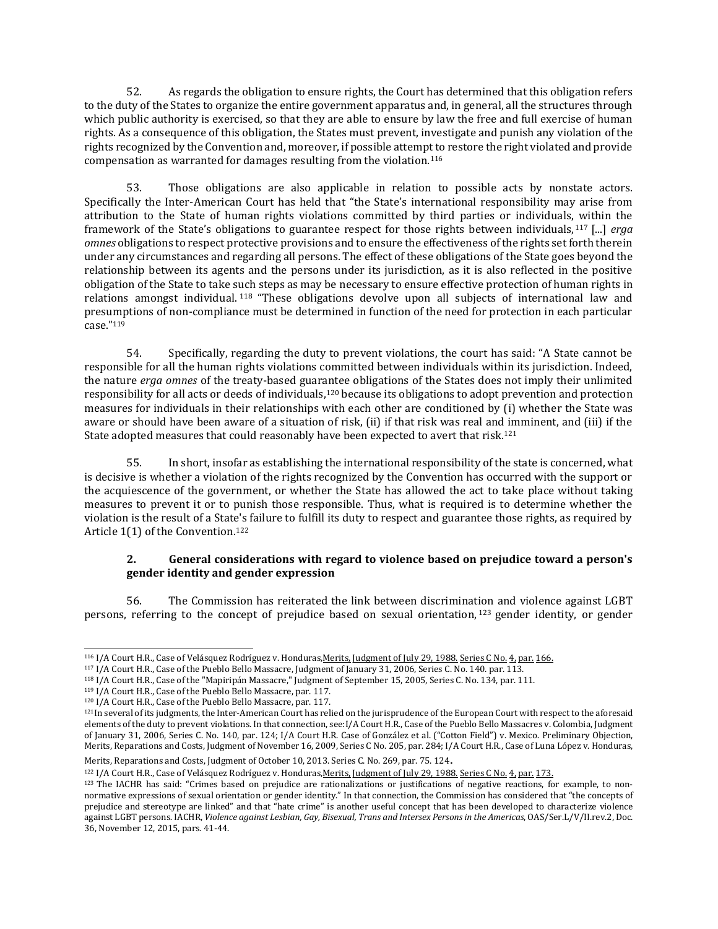52. As regards the obligation to ensure rights, the Court has determined that this obligation refers to the duty of the States to organize the entire government apparatus and, in general, all the structures through which public authority is exercised, so that they are able to ensure by law the free and full exercise of human rights. As a consequence of this obligation, the States must prevent, investigate and punish any violation of the rights recognized by the Convention and, moreover, if possible attempt to restore the right violated and provide compensation as warranted for damages resulting from the violation.<sup>116</sup>

53. Those obligations are also applicable in relation to possible acts by nonstate actors. Specifically the Inter-American Court has held that "the State's international responsibility may arise from attribution to the State of human rights violations committed by third parties or individuals, within the framework of the State's obligations to guarantee respect for those rights between individuals, <sup>117</sup> [...] *erga omnes* obligations to respect protective provisions and to ensure the effectiveness of the rights set forth therein under any circumstances and regarding all persons. The effect of these obligations of the State goes beyond the relationship between its agents and the persons under its jurisdiction, as it is also reflected in the positive obligation of the State to take such steps as may be necessary to ensure effective protection of human rights in relations amongst individual. <sup>118</sup> "These obligations devolve upon all subjects of international law and presumptions of non-compliance must be determined in function of the need for protection in each particular case."<sup>119</sup>

54. Specifically, regarding the duty to prevent violations, the court has said: "A State cannot be responsible for all the human rights violations committed between individuals within its jurisdiction. Indeed, the nature *erga omnes* of the treaty-based guarantee obligations of the States does not imply their unlimited responsibility for all acts or deeds of individuals,<sup>120</sup> because its obligations to adopt prevention and protection measures for individuals in their relationships with each other are conditioned by (i) whether the State was aware or should have been aware of a situation of risk, (ii) if that risk was real and imminent, and (iii) if the State adopted measures that could reasonably have been expected to avert that risk.<sup>121</sup>

55. In short, insofar as establishing the international responsibility of the state is concerned, what is decisive is whether a violation of the rights recognized by the Convention has occurred with the support or the acquiescence of the government, or whether the State has allowed the act to take place without taking measures to prevent it or to punish those responsible. Thus, what is required is to determine whether the violation is the result of a State's failure to fulfill its duty to respect and guarantee those rights, as required by Article 1(1) of the Convention.<sup>122</sup>

# **2. General considerations with regard to violence based on prejudice toward a person's gender identity and gender expression**

56. The Commission has reiterated the link between discrimination and violence against LGBT persons, referring to the concept of prejudice based on sexual orientation, <sup>123</sup> gender identity, or gender

 $\overline{\phantom{a}}$ 

Merits, Reparations and Costs, Judgment of October 10, 2013. Series C. No. 269, par. 75. <sup>124</sup>.

122 I/A Court H.R., Case of Velásquez Rodríguez v. Honduras, Merits, [Judgment](http://joomla.corteidh.or.cr:8080/joomla/es/casos-contenciosos/38-jurisprudencia/192-corte-idh-caso-velasquez-rodriguez-vs-honduras-fondo-sentencia-de-29-de-julio-de-1988-serie-c-no-4) of July 29, 1988. Series C No. 4, par. 173.

<sup>&</sup>lt;sup>116</sup> I/A Court H.R., Case of Velásquez Rodríguez v. Honduras<u>,Merits, [Judgment](http://joomla.corteidh.or.cr:8080/joomla/es/casos-contenciosos/38-jurisprudencia/192-corte-idh-caso-velasquez-rodriguez-vs-honduras-fondo-sentencia-de-29-de-julio-de-1988-serie-c-no-4) of July 29, 1988. Series C No. 4, par. 166.</u>

<sup>117</sup> I/A Court H.R., Case of the Pueblo Bello Massacre, Judgment of January 31, 2006, Series C. No. 140. par. 113.

<sup>118</sup> I/A Court H.R., Case of the "Mapiripán Massacre," Judgment of September 15, 2005, Series C. No. 134, par. 111.

<sup>119</sup> I/A Court H.R., Case of the Pueblo Bello Massacre, par. 117.

<sup>120</sup> I/A Court H.R., Case of the Pueblo Bello Massacre, par. 117.

 $121$ In several of its judgments, the Inter-American Court has relied on the jurisprudence of the European Court with respect to the aforesaid elements of the duty to prevent violations. In that connection, see:I/A Court H.R., Case of the Pueblo Bello Massacres v. Colombia, Judgment of January 31, 2006, Series C. No. 140, par. 124; I/A Court H.R. Case of González et al. ("Cotton Field") v. Mexico. Preliminary Objection, Merits, Reparations and Costs, Judgment of November 16, 2009, Series C No. 205, par. 284; I/A Court H.R., Case of Luna López v. Honduras,

<sup>123</sup> The IACHR has said: "Crimes based on prejudice are rationalizations or justifications of negative reactions, for example, to nonnormative expressions of sexual orientation or gender identity." In that connection, the Commission has considered that "the concepts of prejudice and stereotype are linked" and that "hate crime" is another useful concept that has been developed to characterize violence against LGBT persons. IACHR, *Violence against Lesbian, Gay, Bisexual, Trans and Intersex Personsin the Americas*, OAS/Ser.L/V/II.rev.2, Doc. 36, November 12, 2015, pars. 41-44.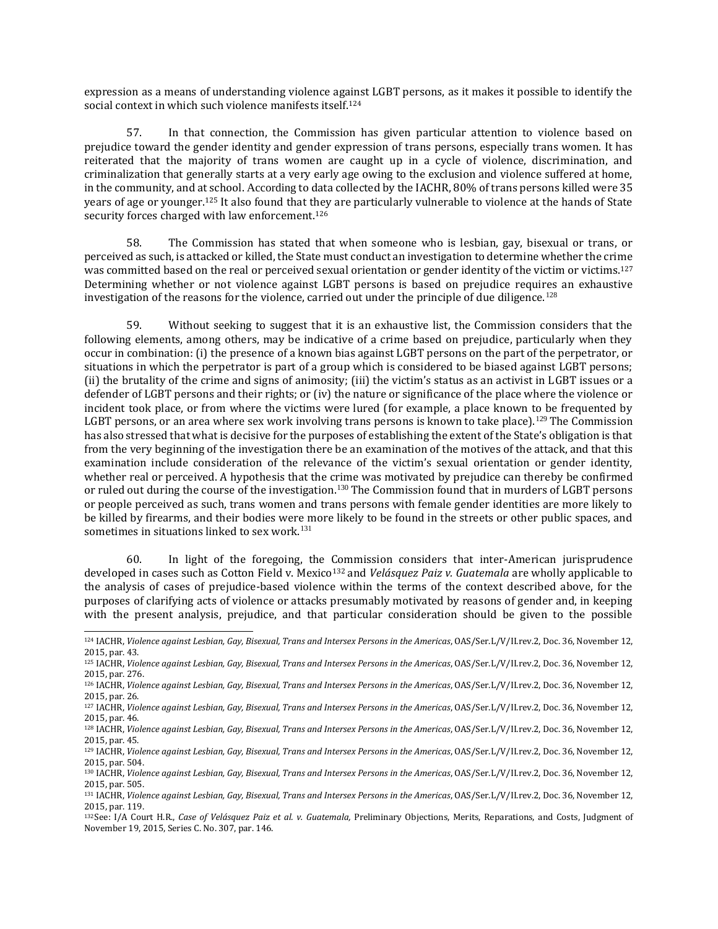expression as a means of understanding violence against LGBT persons, as it makes it possible to identify the social context in which such violence manifests itself.<sup>124</sup>

57. In that connection, the Commission has given particular attention to violence based on prejudice toward the gender identity and gender expression of trans persons, especially trans women. It has reiterated that the majority of trans women are caught up in a cycle of violence, discrimination, and criminalization that generally starts at a very early age owing to the exclusion and violence suffered at home, in the community, and at school. According to data collected by the IACHR, 80% of trans persons killed were 35 years of age or younger.<sup>125</sup> It also found that they are particularly vulnerable to violence at the hands of State security forces charged with law enforcement.<sup>126</sup>

58. The Commission has stated that when someone who is lesbian, gay, bisexual or trans, or perceived as such, is attacked or killed, the State must conduct an investigation to determine whether the crime was committed based on the real or perceived sexual orientation or gender identity of the victim or victims.<sup>127</sup> Determining whether or not violence against LGBT persons is based on prejudice requires an exhaustive investigation of the reasons for the violence, carried out under the principle of due diligence.<sup>128</sup>

59. Without seeking to suggest that it is an exhaustive list, the Commission considers that the following elements, among others, may be indicative of a crime based on prejudice, particularly when they occur in combination: (i) the presence of a known bias against LGBT persons on the part of the perpetrator, or situations in which the perpetrator is part of a group which is considered to be biased against LGBT persons; (ii) the brutality of the crime and signs of animosity; (iii) the victim's status as an activist in LGBT issues or a defender of LGBT persons and their rights; or (iv) the nature or significance of the place where the violence or incident took place, or from where the victims were lured (for example, a place known to be frequented by LGBT persons, or an area where sex work involving trans persons is known to take place).<sup>129</sup> The Commission has also stressed that what is decisive for the purposes of establishing the extent of the State's obligation is that from the very beginning of the investigation there be an examination of the motives of the attack, and that this examination include consideration of the relevance of the victim's sexual orientation or gender identity, whether real or perceived. A hypothesis that the crime was motivated by prejudice can thereby be confirmed or ruled out during the course of the investigation.<sup>130</sup> The Commission found that in murders of LGBT persons or people perceived as such, trans women and trans persons with female gender identities are more likely to be killed by firearms, and their bodies were more likely to be found in the streets or other public spaces, and sometimes in situations linked to sex work.<sup>131</sup>

60. In light of the foregoing, the Commission considers that inter-American jurisprudence developed in cases such as Cotton Field v. Mexico<sup>132</sup> and *Velásquez Paiz v. Guatemala* are wholly applicable to the analysis of cases of prejudice-based violence within the terms of the context described above, for the purposes of clarifying acts of violence or attacks presumably motivated by reasons of gender and, in keeping with the present analysis, prejudice, and that particular consideration should be given to the possible

<sup>124</sup> IACHR, *Violence against Lesbian, Gay, Bisexual, Trans and Intersex Persons in the Americas*, OAS/Ser.L/V/II.rev.2, Doc. 36, November 12, 2015, par. 43.

<sup>125</sup> IACHR, *Violence against Lesbian, Gay, Bisexual, Trans and Intersex Persons in the Americas*, OAS/Ser.L/V/II.rev.2, Doc. 36, November 12, 2015, par. 276.

<sup>126</sup> IACHR, *Violence against Lesbian, Gay, Bisexual, Trans and Intersex Persons in the Americas*, OAS/Ser.L/V/II.rev.2, Doc. 36, November 12, 2015, par. 26.

<sup>127</sup> IACHR, *Violence against Lesbian, Gay, Bisexual, Trans and Intersex Persons in the Americas*, OAS/Ser.L/V/II.rev.2, Doc. 36, November 12, 2015, par. 46.

<sup>128</sup> IACHR, *Violence against Lesbian, Gay, Bisexual, Trans and Intersex Persons in the Americas*, OAS/Ser.L/V/II.rev.2, Doc. 36, November 12, 2015, par. 45.

<sup>129</sup> IACHR, *Violence against Lesbian, Gay, Bisexual, Trans and Intersex Persons in the Americas*, OAS/Ser.L/V/II.rev.2, Doc. 36, November 12, 2015, par. 504.

<sup>130</sup> IACHR, *Violence against Lesbian, Gay, Bisexual, Trans and Intersex Persons in the Americas*, OAS/Ser.L/V/II.rev.2, Doc. 36, November 12, 2015, par. 505.

<sup>131</sup> IACHR, *Violence against Lesbian, Gay, Bisexual, Trans and Intersex Persons in the Americas*, OAS/Ser.L/V/II.rev.2, Doc. 36, November 12, 2015, par. 119.

<sup>132</sup>See: I/A Court H.R., *Case of Velásquez Paiz et al. v. Guatemala,* Preliminary Objections, Merits, Reparations, and Costs, Judgment of November 19, 2015, Series C. No. 307, par. 146.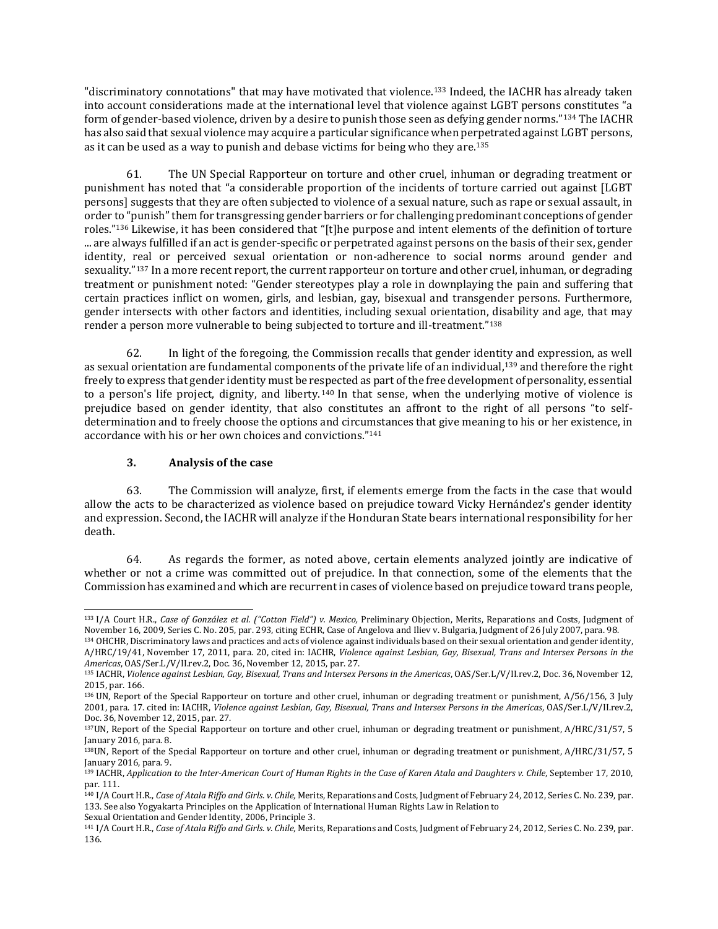"discriminatory connotations" that may have motivated that violence.<sup>133</sup> Indeed, the IACHR has already taken into account considerations made at the international level that violence against LGBT persons constitutes "a form of gender-based violence, driven by a desire to punish those seen as defying gender norms."<sup>134</sup> The IACHR has also said that sexual violence may acquire a particular significance when perpetrated against LGBT persons, as it can be used as a way to punish and debase victims for being who they are.<sup>135</sup>

61. The UN Special Rapporteur on torture and other cruel, inhuman or degrading treatment or punishment has noted that "a considerable proportion of the incidents of torture carried out against [LGBT persons] suggests that they are often subjected to violence of a sexual nature, such as rape or sexual assault, in order to "punish" them for transgressing gender barriers or for challenging predominant conceptions of gender roles."<sup>136</sup> Likewise, it has been considered that "[t]he purpose and intent elements of the definition of torture ... are always fulfilled if an act is gender-specific or perpetrated against persons on the basis of their sex, gender identity, real or perceived sexual orientation or non-adherence to social norms around gender and sexuality."137 In a more recent report, the current rapporteur on torture and other cruel, inhuman, or degrading treatment or punishment noted: "Gender stereotypes play a role in downplaying the pain and suffering that certain practices inflict on women, girls, and lesbian, gay, bisexual and transgender persons. Furthermore, gender intersects with other factors and identities, including sexual orientation, disability and age, that may render a person more vulnerable to being subjected to torture and ill-treatment."<sup>138</sup>

62. In light of the foregoing, the Commission recalls that gender identity and expression, as well as sexual orientation are fundamental components of the private life of an individual,<sup>139</sup> and therefore the right freely to express that gender identity must be respected as part of the free development of personality, essential to a person's life project, dignity, and liberty. <sup>140</sup> In that sense, when the underlying motive of violence is prejudice based on gender identity, that also constitutes an affront to the right of all persons "to selfdetermination and to freely choose the options and circumstances that give meaning to his or her existence, in accordance with his or her own choices and convictions."<sup>141</sup>

# **3. Analysis of the case**

 $\overline{\phantom{a}}$ 

63. The Commission will analyze, first, if elements emerge from the facts in the case that would allow the acts to be characterized as violence based on prejudice toward Vicky Hernández's gender identity and expression. Second, the IACHR will analyze if the Honduran State bears international responsibility for her death.

64. As regards the former, as noted above, certain elements analyzed jointly are indicative of whether or not a crime was committed out of prejudice. In that connection, some of the elements that the Commission has examined and which are recurrent in cases of violence based on prejudice toward trans people,

Sexual Orientation and Gender Identity, 2006, Principle 3.

<sup>133</sup> I/A Court H.R., *Case of González et al. ("Cotton Field") v. Mexico,* Preliminary Objection, Merits, Reparations and Costs, Judgment of November 16, 2009, Series C. No. 205, par. 293, citing ECHR, Case of Angelova and Iliev v. Bulgaria, Judgment of 26 July 2007, para. 98.

<sup>134</sup> OHCHR, Discriminatory laws and practices and acts of violence against individuals based on their sexual orientation and gender identity, A/HRC/19/41, November 17, 2011, para. 20, cited in: IACHR, *Violence against Lesbian, Gay, Bisexual, Trans and Intersex Persons in the Americas*, OAS/Ser.L/V/II.rev.2, Doc. 36, November 12, 2015, par. 27.

<sup>135</sup> IACHR, *Violence against Lesbian, Gay, Bisexual, Trans and Intersex Persons in the Americas*, OAS/Ser.L/V/II.rev.2, Doc. 36, November 12, 2015, par. 166.

<sup>136</sup> UN, Report of the Special Rapporteur on torture and other cruel, inhuman or degrading treatment or punishment, A/56/156, 3 July 2001, para. 17. cited in: IACHR, *Violence against Lesbian, Gay, Bisexual, Trans and Intersex Persons in the Americas*, OAS/Ser.L/V/II.rev.2, Doc. 36, November 12, 2015, par. 27.

<sup>137</sup>UN, Report of the Special Rapporteur on torture and other cruel, inhuman or degrading treatment or punishment, A/HRC/31/57, 5 January 2016, para. 8.

<sup>138</sup>UN, Report of the Special Rapporteur on torture and other cruel, inhuman or degrading treatment or punishment, A/HRC/31/57, 5 January 2016, para. 9.

<sup>&</sup>lt;sup>139</sup> IACHR, Application to the Inter-American Court of Human Rights in the Case of Karen Atala and Daughters v. Chile, September 17, 2010, par. 111.

<sup>140</sup> I/A Court H.R., *Case of Atala Riffo and Girls. v. Chile,* Merits, Reparations and Costs, Judgment of February 24, 2012, Series C. No. 239, par. 133. See also Yogyakarta Principles on the Application of International Human Rights Law in Relation to

<sup>141</sup> I/A Court H.R., *Case of Atala Riffo and Girls. v. Chile,* Merits, Reparations and Costs, Judgment of February 24, 2012, Series C. No. 239, par. 136.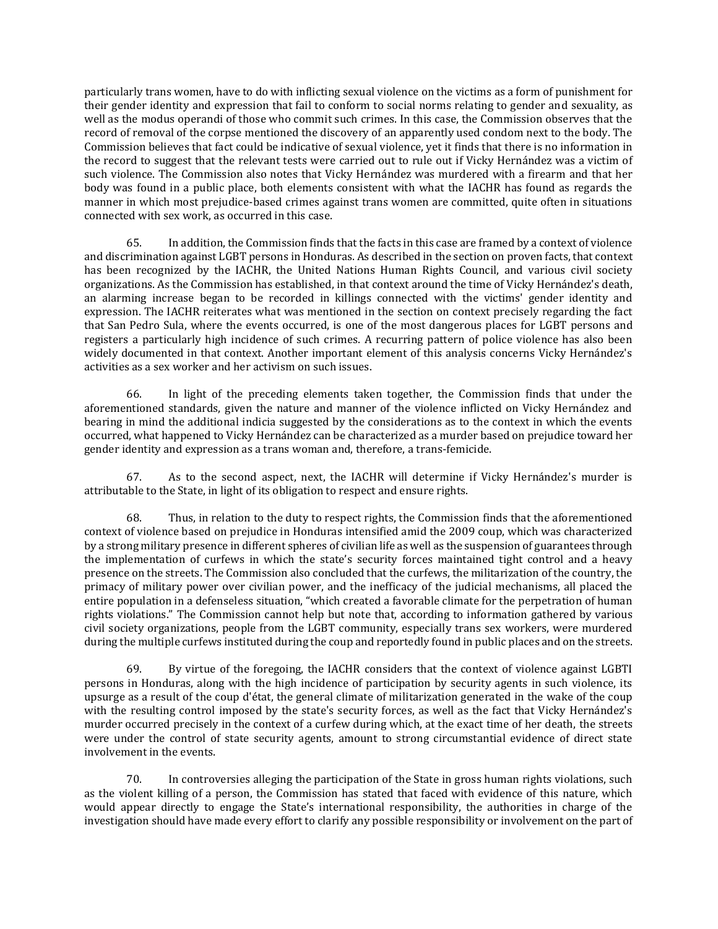particularly trans women, have to do with inflicting sexual violence on the victims as a form of punishment for their gender identity and expression that fail to conform to social norms relating to gender and sexuality, as well as the modus operandi of those who commit such crimes. In this case, the Commission observes that the record of removal of the corpse mentioned the discovery of an apparently used condom next to the body. The Commission believes that fact could be indicative of sexual violence, yet it finds that there is no information in the record to suggest that the relevant tests were carried out to rule out if Vicky Hernández was a victim of such violence. The Commission also notes that Vicky Hernández was murdered with a firearm and that her body was found in a public place, both elements consistent with what the IACHR has found as regards the manner in which most prejudice-based crimes against trans women are committed, quite often in situations connected with sex work, as occurred in this case.

65. In addition, the Commission finds that the facts in this case are framed by a context of violence and discrimination against LGBT persons in Honduras. As described in the section on proven facts, that context has been recognized by the IACHR, the United Nations Human Rights Council, and various civil society organizations. As the Commission has established, in that context around the time of Vicky Hernández's death, an alarming increase began to be recorded in killings connected with the victims' gender identity and expression. The IACHR reiterates what was mentioned in the section on context precisely regarding the fact that San Pedro Sula, where the events occurred, is one of the most dangerous places for LGBT persons and registers a particularly high incidence of such crimes. A recurring pattern of police violence has also been widely documented in that context. Another important element of this analysis concerns Vicky Hernández's activities as a sex worker and her activism on such issues.

66. In light of the preceding elements taken together, the Commission finds that under the aforementioned standards, given the nature and manner of the violence inflicted on Vicky Hernández and bearing in mind the additional indicia suggested by the considerations as to the context in which the events occurred, what happened to Vicky Hernández can be characterized as a murder based on prejudice toward her gender identity and expression as a trans woman and, therefore, a trans-femicide.

67. As to the second aspect, next, the IACHR will determine if Vicky Hernández's murder is attributable to the State, in light of its obligation to respect and ensure rights.

68. Thus, in relation to the duty to respect rights, the Commission finds that the aforementioned context of violence based on prejudice in Honduras intensified amid the 2009 coup, which was characterized by a strong military presence in different spheres of civilian life as well as the suspension of guarantees through the implementation of curfews in which the state's security forces maintained tight control and a heavy presence on the streets. The Commission also concluded that the curfews, the militarization of the country, the primacy of military power over civilian power, and the inefficacy of the judicial mechanisms, all placed the entire population in a defenseless situation, "which created a favorable climate for the perpetration of human rights violations." The Commission cannot help but note that, according to information gathered by various civil society organizations, people from the LGBT community, especially trans sex workers, were murdered during the multiple curfews instituted during the coup and reportedly found in public places and on the streets.

69. By virtue of the foregoing, the IACHR considers that the context of violence against LGBTI persons in Honduras, along with the high incidence of participation by security agents in such violence, its upsurge as a result of the coup d'état, the general climate of militarization generated in the wake of the coup with the resulting control imposed by the state's security forces, as well as the fact that Vicky Hernández's murder occurred precisely in the context of a curfew during which, at the exact time of her death, the streets were under the control of state security agents, amount to strong circumstantial evidence of direct state involvement in the events.

70. In controversies alleging the participation of the State in gross human rights violations, such as the violent killing of a person, the Commission has stated that faced with evidence of this nature, which would appear directly to engage the State's international responsibility, the authorities in charge of the investigation should have made every effort to clarify any possible responsibility or involvement on the part of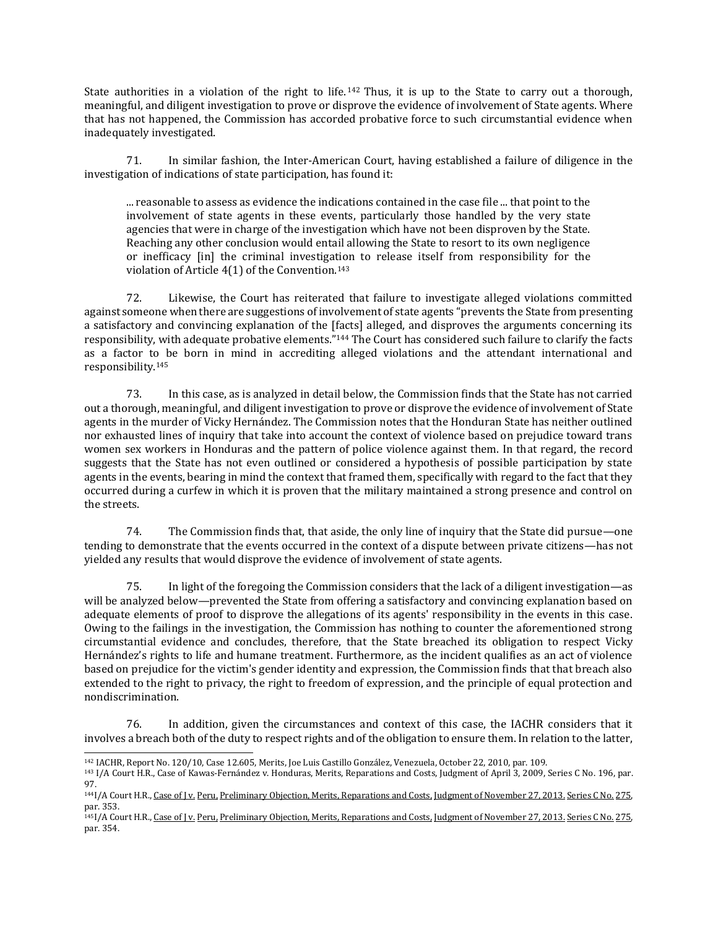State authorities in a violation of the right to life. <sup>142</sup> Thus, it is up to the State to carry out a thorough, meaningful, and diligent investigation to prove or disprove the evidence of involvement of State agents. Where that has not happened, the Commission has accorded probative force to such circumstantial evidence when inadequately investigated.

71. In similar fashion, the Inter-American Court, having established a failure of diligence in the investigation of indications of state participation, has found it:

... reasonable to assess as evidence the indications contained in the case file ... that point to the involvement of state agents in these events, particularly those handled by the very state agencies that were in charge of the investigation which have not been disproven by the State. Reaching any other conclusion would entail allowing the State to resort to its own negligence or inefficacy [in] the criminal investigation to release itself from responsibility for the violation of Article 4(1) of the Convention.<sup>143</sup>

72. Likewise, the Court has reiterated that failure to investigate alleged violations committed against someone when there are suggestions of involvement of state agents "prevents the State from presenting a satisfactory and convincing explanation of the [facts] alleged, and disproves the arguments concerning its responsibility, with adequate probative elements."<sup>144</sup> The Court has considered such failure to clarify the facts as a factor to be born in mind in accrediting alleged violations and the attendant international and responsibility.<sup>145</sup>

73. In this case, as is analyzed in detail below, the Commission finds that the State has not carried out a thorough, meaningful, and diligent investigation to prove or disprove the evidence of involvement of State agents in the murder of Vicky Hernández. The Commission notes that the Honduran State has neither outlined nor exhausted lines of inquiry that take into account the context of violence based on prejudice toward trans women sex workers in Honduras and the pattern of police violence against them. In that regard, the record suggests that the State has not even outlined or considered a hypothesis of possible participation by state agents in the events, bearing in mind the context that framed them, specifically with regard to the fact that they occurred during a curfew in which it is proven that the military maintained a strong presence and control on the streets.

74. The Commission finds that, that aside, the only line of inquiry that the State did pursue—one tending to demonstrate that the events occurred in the context of a dispute between private citizens—has not yielded any results that would disprove the evidence of involvement of state agents.

75. In light of the foregoing the Commission considers that the lack of a diligent investigation—as will be analyzed below—prevented the State from offering a satisfactory and convincing explanation based on adequate elements of proof to disprove the allegations of its agents' responsibility in the events in this case. Owing to the failings in the investigation, the Commission has nothing to counter the aforementioned strong circumstantial evidence and concludes, therefore, that the State breached its obligation to respect Vicky Hernández's rights to life and humane treatment. Furthermore, as the incident qualifies as an act of violence based on prejudice for the victim's gender identity and expression, the Commission finds that that breach also extended to the right to privacy, the right to freedom of expression, and the principle of equal protection and nondiscrimination.

76. In addition, given the circumstances and context of this case, the IACHR considers that it involves a breach both of the duty to respect rights and of the obligation to ensure them. In relation to the latter,

 $\overline{a}$ 

<sup>142</sup> IACHR, Report No. 120/10, Case 12.605, Merits, Joe Luis Castillo González, Venezuela, October 22, 2010, par. 109.

<sup>143</sup> I/A Court H.R., Case of Kawas-Fernández v. Honduras, Merits, Reparations and Costs, Judgment of April 3, 2009, Series C No. 196, par. 97.

<sup>144</sup>I/A Court H.R., Case of J v. Peru, Preliminary Objection, Merits, [Reparations](http://joomla.corteidh.or.cr:8080/joomla/es/casos-contenciosos/38-jurisprudencia/2120-corte-idh-caso-j-vs-peru-excepcion-preliminar-fondo-reparaciones-y-costas-sentencia-de-27-de-noviembre-de-2013-serie-c-no-275) and Costs, Judgment of November 27, 2013. Series C No. 275, par. 353.

<sup>&</sup>lt;sup>145</sup>I/A Court H.R., Case of I v. Peru, Preliminary Objection, Merits, [Reparations](http://joomla.corteidh.or.cr:8080/joomla/es/casos-contenciosos/38-jurisprudencia/2120-corte-idh-caso-j-vs-peru-excepcion-preliminar-fondo-reparaciones-y-costas-sentencia-de-27-de-noviembre-de-2013-serie-c-no-275) and Costs, Judgment of November 27, 2013, Series C No. 275, par. 354.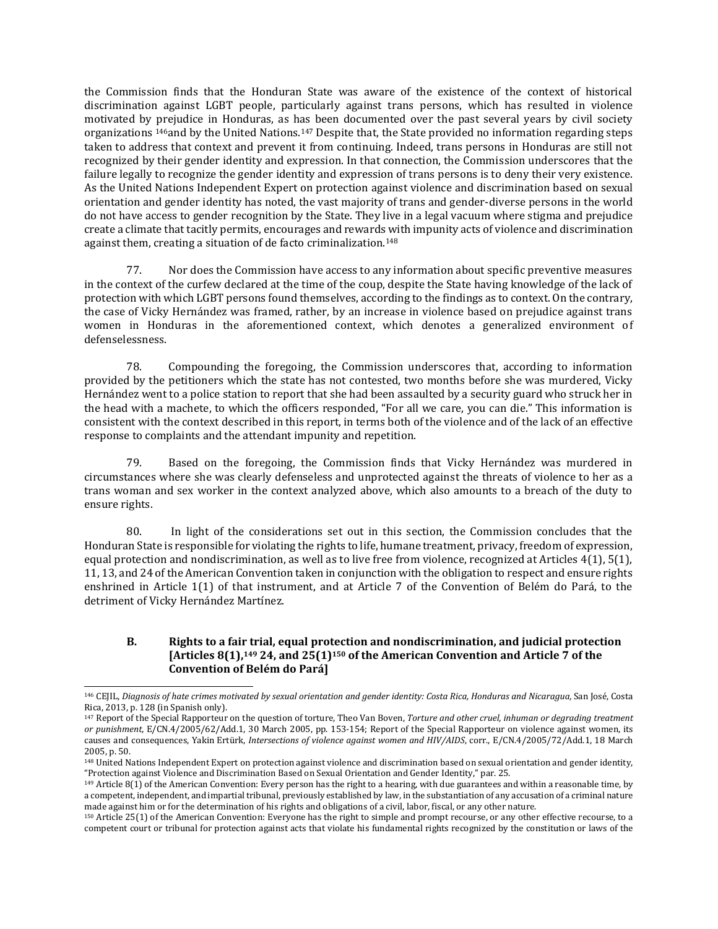the Commission finds that the Honduran State was aware of the existence of the context of historical discrimination against LGBT people, particularly against trans persons, which has resulted in violence motivated by prejudice in Honduras, as has been documented over the past several years by civil society organizations 146and by the United Nations.<sup>147</sup> Despite that, the State provided no information regarding steps taken to address that context and prevent it from continuing. Indeed, trans persons in Honduras are still not recognized by their gender identity and expression. In that connection, the Commission underscores that the failure legally to recognize the gender identity and expression of trans persons is to deny their very existence. As the United Nations Independent Expert on protection against violence and discrimination based on sexual orientation and gender identity has noted, the vast majority of trans and gender-diverse persons in the world do not have access to gender recognition by the State. They live in a legal vacuum where stigma and prejudice create a climate that tacitly permits, encourages and rewards with impunity acts of violence and discrimination against them, creating a situation of de facto criminalization.<sup>148</sup>

77. Nor does the Commission have access to any information about specific preventive measures in the context of the curfew declared at the time of the coup, despite the State having knowledge of the lack of protection with which LGBT persons found themselves, according to the findings as to context. On the contrary, the case of Vicky Hernández was framed, rather, by an increase in violence based on prejudice against trans women in Honduras in the aforementioned context, which denotes a generalized environment of defenselessness.

78. Compounding the foregoing, the Commission underscores that, according to information provided by the petitioners which the state has not contested, two months before she was murdered, Vicky Hernández went to a police station to report that she had been assaulted by a security guard who struck her in the head with a machete, to which the officers responded, "For all we care, you can die." This information is consistent with the context described in this report, in terms both of the violence and of the lack of an effective response to complaints and the attendant impunity and repetition.

79. Based on the foregoing, the Commission finds that Vicky Hernández was murdered in circumstances where she was clearly defenseless and unprotected against the threats of violence to her as a trans woman and sex worker in the context analyzed above, which also amounts to a breach of the duty to ensure rights.

80. In light of the considerations set out in this section, the Commission concludes that the Honduran State is responsible for violating the rights to life, humane treatment, privacy, freedom of expression, equal protection and nondiscrimination, as well as to live free from violence, recognized at Articles 4(1), 5(1), 11, 13, and 24 of the American Convention taken in conjunction with the obligation to respect and ensure rights enshrined in Article 1(1) of that instrument, and at Article 7 of the Convention of Belém do Pará, to the detriment of Vicky Hernández Martínez.

# **B. Rights to a fair trial, equal protection and nondiscrimination, and judicial protection [Articles 8(1),<sup>149</sup> 24, and 25(1)<sup>150</sup> of the American Convention and Article 7 of the Convention of Belém do Pará]**

<sup>146</sup> CEJIL, Diagnosis of hate crimes motivated by sexual [orientation](https://www.cejil.org/sites/default/files/legacy_files/El%20Caso%20de%20Honduras.pdf) and gender identity: Costa Rica, Honduras and Nicaragua, San José, Costa Rica, 2013, p. 128 (in Spanish only).

<sup>147</sup> Report of the Special Rapporteur on the question of torture, Theo Van Boven, *Torture and other cruel, inhuman or degrading treatment or punishment*, E/CN.4/2005/62/Add.1, 30 March 2005, pp. 153-154; Report of the Special Rapporteur on violence against women, its causes and consequences, Yakin Ertürk, *Intersections of violence against women and HIV/AIDS*, corr., E/CN.4/2005/72/Add.1, 18 March 2005, p. 50.

<sup>&</sup>lt;sup>148</sup> United Nations Independent Expert on protection against violence and discrimination based on sexual orientation and gender identity, "Protection against Violence and Discrimination Based on Sexual Orientation and Gender Identity," par. 25.

<sup>149</sup> Article 8(1) of the American Convention: Every person has the right to a hearing, with due guarantees and within a reasonable time, by a competent, independent, and impartial tribunal, previously established by law, in the substantiation of any accusation of a criminal nature made against him or for the determination of his rights and obligations of a civil, labor, fiscal, or any other nature.

<sup>150</sup> Article 25(1) of the American Convention: Everyone has the right to simple and prompt recourse, or any other effective recourse, to a competent court or tribunal for protection against acts that violate his fundamental rights recognized by the constitution or laws of the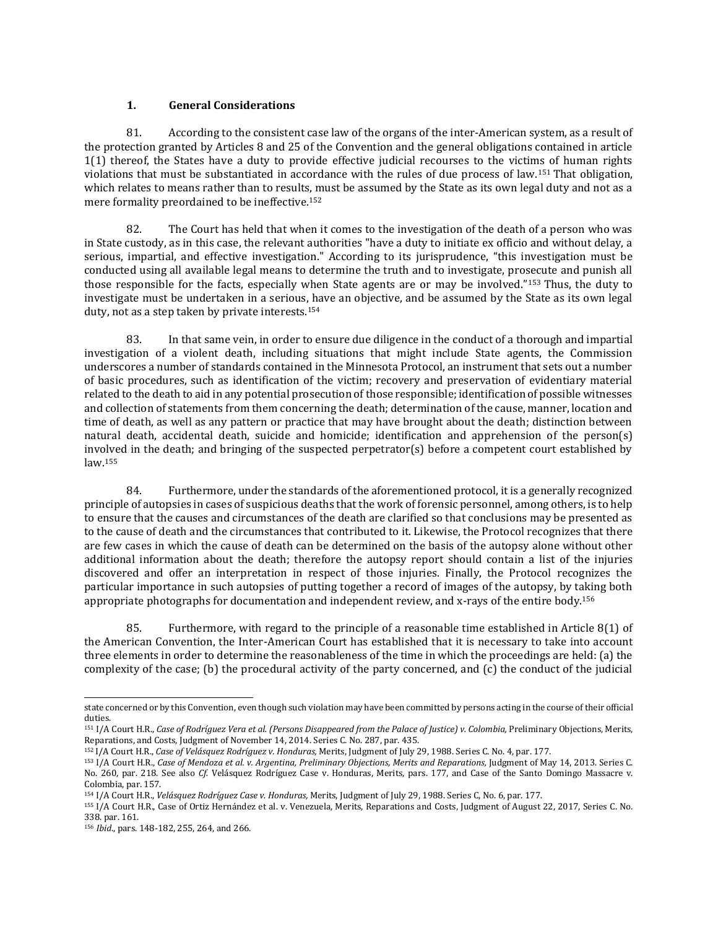# **1. General Considerations**

81. According to the consistent case law of the organs of the inter-American system, as a result of the protection granted by Articles 8 and 25 of the Convention and the general obligations contained in article 1(1) thereof, the States have a duty to provide effective judicial recourses to the victims of human rights violations that must be substantiated in accordance with the rules of due process of law.<sup>151</sup> That obligation, which relates to means rather than to results, must be assumed by the State as its own legal duty and not as a mere formality preordained to be ineffective.<sup>152</sup>

82. The Court has held that when it comes to the investigation of the death of a person who was in State custody, as in this case, the relevant authorities "have a duty to initiate ex officio and without delay, a serious, impartial, and effective investigation." According to its jurisprudence, "this investigation must be conducted using all available legal means to determine the truth and to investigate, prosecute and punish all those responsible for the facts, especially when State agents are or may be involved."<sup>153</sup> Thus, the duty to investigate must be undertaken in a serious, have an objective, and be assumed by the State as its own legal duty, not as a step taken by private interests.<sup>154</sup>

83. In that same vein, in order to ensure due diligence in the conduct of a thorough and impartial investigation of a violent death, including situations that might include State agents, the Commission underscores a number of standards contained in the Minnesota Protocol, an instrument that sets out a number of basic procedures, such as identification of the victim; recovery and preservation of evidentiary material related to the death to aid in any potential prosecution of those responsible; identification of possible witnesses and collection of statements from them concerning the death; determination of the cause, manner, location and time of death, as well as any pattern or practice that may have brought about the death; distinction between natural death, accidental death, suicide and homicide; identification and apprehension of the person(s) involved in the death; and bringing of the suspected perpetrator(s) before a competent court established by law.<sup>155</sup>

84. Furthermore, under the standards of the aforementioned protocol, it is a generally recognized principle of autopsies in cases of suspicious deaths that the work of forensic personnel, among others, is to help to ensure that the causes and circumstances of the death are clarified so that conclusions may be presented as to the cause of death and the circumstances that contributed to it. Likewise, the Protocol recognizes that there are few cases in which the cause of death can be determined on the basis of the autopsy alone without other additional information about the death; therefore the autopsy report should contain a list of the injuries discovered and offer an interpretation in respect of those injuries. Finally, the Protocol recognizes the particular importance in such autopsies of putting together a record of images of the autopsy, by taking both appropriate photographs for documentation and independent review, and x-rays of the entire body.<sup>156</sup>

85. Furthermore, with regard to the principle of a reasonable time established in Article 8(1) of the American Convention, the Inter-American Court has established that it is necessary to take into account three elements in order to determine the reasonableness of the time in which the proceedings are held: (a) the complexity of the case; (b) the procedural activity of the party concerned, and (c) the conduct of the judicial

state concerned or by this Convention, even though such violation may have been committed by persons acting in the course of their official duties.

<sup>151</sup> I/A Court H.R., Case of Rodríguez Vera et al. (Persons Disappeared from the Palace of Justice) v. Colombia, Preliminary Objections, Merits, Reparations, and Costs, Judgment of November 14, 2014. Series C. No. 287, par. 435.

<sup>152</sup> I/A Court H.R., *Case of Velásquez Rodríguez v. Honduras,* Merits, Judgment of July 29, 1988. Series C. No. 4, par. 177.

<sup>153</sup> I/A Court H.R., *Case of Mendoza et al. v. Argentina, Preliminary Objections, Merits and Reparations,* Judgment of May 14, 2013. Series C. No. 260, par. 218. See also *Cf.* Velásquez Rodríguez Case v. Honduras, Merits, pars. 177, and Case of the Santo Domingo Massacre v. Colombia, par. 157.

<sup>154</sup> I/A Court H.R., *Velásquez Rodríguez Case v. Honduras,* Merits, Judgment of July 29, 1988. Series C, No. 6, par. 177.

<sup>155</sup> I/A Court H.R., Case of Ortiz Hernández et al. v. Venezuela, Merits, Reparations and Costs, Judgment of August 22, 2017, Series C. No. 338. par. 161.

<sup>156</sup> *Ibid*., pars. 148-182, 255, 264, and 266.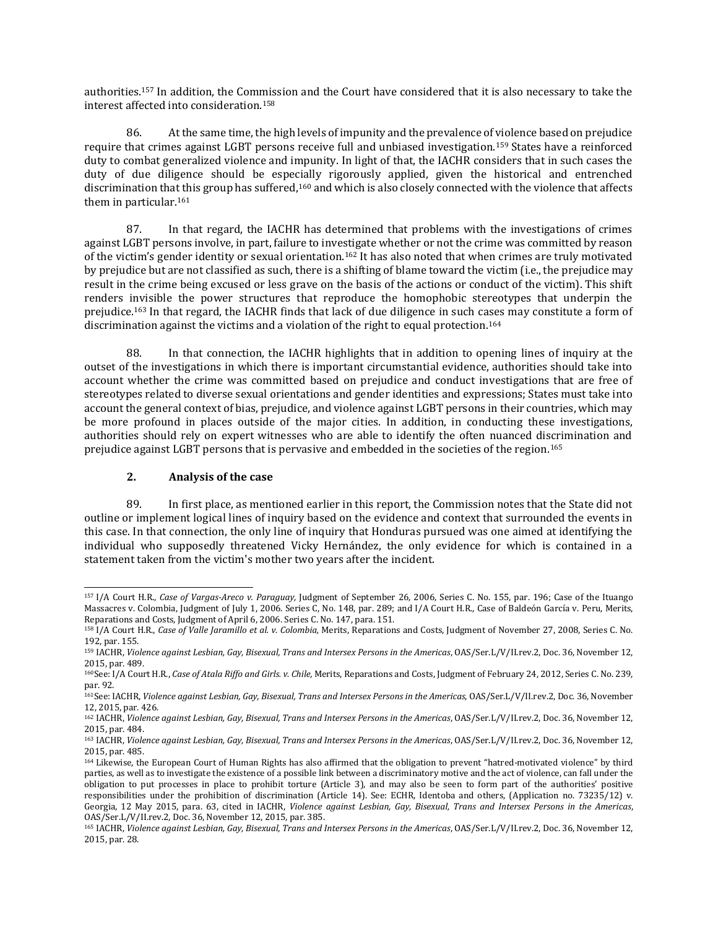authorities.<sup>157</sup> In addition, the Commission and the Court have considered that it is also necessary to take the interest affected into consideration.<sup>158</sup>

86. At the same time, the high levels of impunity and the prevalence of violence based on prejudice require that crimes against LGBT persons receive full and unbiased investigation.<sup>159</sup> States have a reinforced duty to combat generalized violence and impunity. In light of that, the IACHR considers that in such cases the duty of due diligence should be especially rigorously applied, given the historical and entrenched discrimination that this group has suffered,<sup>160</sup> and which is also closely connected with the violence that affects them in particular.<sup>161</sup>

87. In that regard, the IACHR has determined that problems with the investigations of crimes against LGBT persons involve, in part, failure to investigate whether or not the crime was committed by reason of the victim's gender identity or sexual orientation.<sup>162</sup> It has also noted that when crimes are truly motivated by prejudice but are not classified as such, there is a shifting of blame toward the victim (i.e., the prejudice may result in the crime being excused or less grave on the basis of the actions or conduct of the victim). This shift renders invisible the power structures that reproduce the homophobic stereotypes that underpin the prejudice.<sup>163</sup> In that regard, the IACHR finds that lack of due diligence in such cases may constitute a form of discrimination against the victims and a violation of the right to equal protection.<sup>164</sup>

88. In that connection, the IACHR highlights that in addition to opening lines of inquiry at the outset of the investigations in which there is important circumstantial evidence, authorities should take into account whether the crime was committed based on prejudice and conduct investigations that are free of stereotypes related to diverse sexual orientations and gender identities and expressions; States must take into account the general context of bias, prejudice, and violence against LGBT persons in their countries, which may be more profound in places outside of the major cities. In addition, in conducting these investigations, authorities should rely on expert witnesses who are able to identify the often nuanced discrimination and prejudice against LGBT persons that is pervasive and embedded in the societies of the region.<sup>165</sup>

# **2. Analysis of the case**

89. In first place, as mentioned earlier in this report, the Commission notes that the State did not outline or implement logical lines of inquiry based on the evidence and context that surrounded the events in this case. In that connection, the only line of inquiry that Honduras pursued was one aimed at identifying the individual who supposedly threatened Vicky Hernández, the only evidence for which is contained in a statement taken from the victim's mother two years after the incident.

 $\overline{\phantom{a}}$ <sup>157</sup> I/A Court H.R., *Case of [Vargas-Areco](http://joomla.corteidh.or.cr:8080/joomla/es/jurisprudencia-oc-2/38-jurisprudencia/741-corte-idh-caso-vargas-areco-vs-paraguay-sentencia-de-26-de-septiembre-de-2006-serie-c-no-155) v. Paraguay,* Judgment of September 26, 2006, Series C. No. 155, par. 196; Case of the [Ituango](http://joomla.corteidh.or.cr:8080/joomla/es/jurisprudencia-oc-2/38-jurisprudencia/731-corte-idh-caso-de-las-masacres-de-ituango-vs-colombia-sentencia-de-1-de-julio-de-2006-serie-c-no-148) [Massacres](http://joomla.corteidh.or.cr:8080/joomla/es/jurisprudencia-oc-2/38-jurisprudencia/731-corte-idh-caso-de-las-masacres-de-ituango-vs-colombia-sentencia-de-1-de-julio-de-2006-serie-c-no-148) v. Colombia, Judgment of July 1, 2006. Series C, No. 148, par. 289; and I/A Court H.R., Case of [Baldeón](http://joomla.corteidh.or.cr:8080/joomla/es/jurisprudencia-oc-2/38-jurisprudencia/728-corte-idh-caso-baldeon-garcia-vs-peru-fondo-reparaciones-y-costas-sentencia-de-6-de-abril-de-2006-serie-c-no-147) García v. Peru, Merits, [Reparations](http://joomla.corteidh.or.cr:8080/joomla/es/jurisprudencia-oc-2/38-jurisprudencia/728-corte-idh-caso-baldeon-garcia-vs-peru-fondo-reparaciones-y-costas-sentencia-de-6-de-abril-de-2006-serie-c-no-147) and Costs, Judgment of April 6, 2006. Series C. No. 147, para. 151.

<sup>158</sup> I/A Court H.R., *Case of Valle Jaramillo et al. v. Colombia,* Merits, Reparations and Costs, Judgment of November 27, 2008, Series C. No. 192, par. 155.

<sup>159</sup> IACHR, *Violence against Lesbian, Gay, Bisexual, Trans and Intersex Persons in the Americas*, OAS/Ser.L/V/II.rev.2, Doc. 36, November 12, 2015, par. 489.

<sup>160</sup>See: I/A Court H.R., *Case of Atala Riffo and Girls. v. Chile,* Merits, Reparations and Costs, Judgment of February 24, 2012, Series C. No. 239, par. 92.

<sup>161</sup>See: IACHR, *Violence against Lesbian, Gay, Bisexual, Trans and Intersex Persons in the Americas*, OAS/Ser.L/V/II.rev.2, Doc. 36, November 12, 2015, par. 426.

<sup>162</sup> IACHR, *Violence against Lesbian, Gay, Bisexual, Trans and Intersex Persons in the Americas*, OAS/Ser.L/V/II.rev.2, Doc. 36, November 12, 2015, par. 484.

<sup>163</sup> IACHR, *Violence against Lesbian, Gay, Bisexual, Trans and Intersex Persons in the Americas*, OAS/Ser.L/V/II.rev.2, Doc. 36, November 12, 2015, par. 485.

<sup>164</sup> Likewise, the European Court of Human Rights has also affirmed that the obligation to prevent "hatred-motivated violence" by third parties, as well as to investigate the existence of a possible link between a discriminatory motive and the act of violence, can fall under the obligation to put processes in place to prohibit torture (Article 3), and may also be seen to form part of the authorities' positive responsibilities under the prohibition of discrimination (Article 14). See: ECHR, Identoba and others, (Application no. 73235/12) v. Georgia, 12 May 2015, para. 63, cited in IACHR, *Violence against Lesbian, Gay, Bisexual, Trans and Intersex Persons in the Americas*, OAS/Ser.L/V/II.rev.2, Doc. 36, November 12, 2015, par. 385.

<sup>165</sup> IACHR, *Violence against Lesbian, Gay, Bisexual, Trans and Intersex Persons in the Americas*, OAS/Ser.L/V/II.rev.2, Doc. 36, November 12, 2015, par. 28.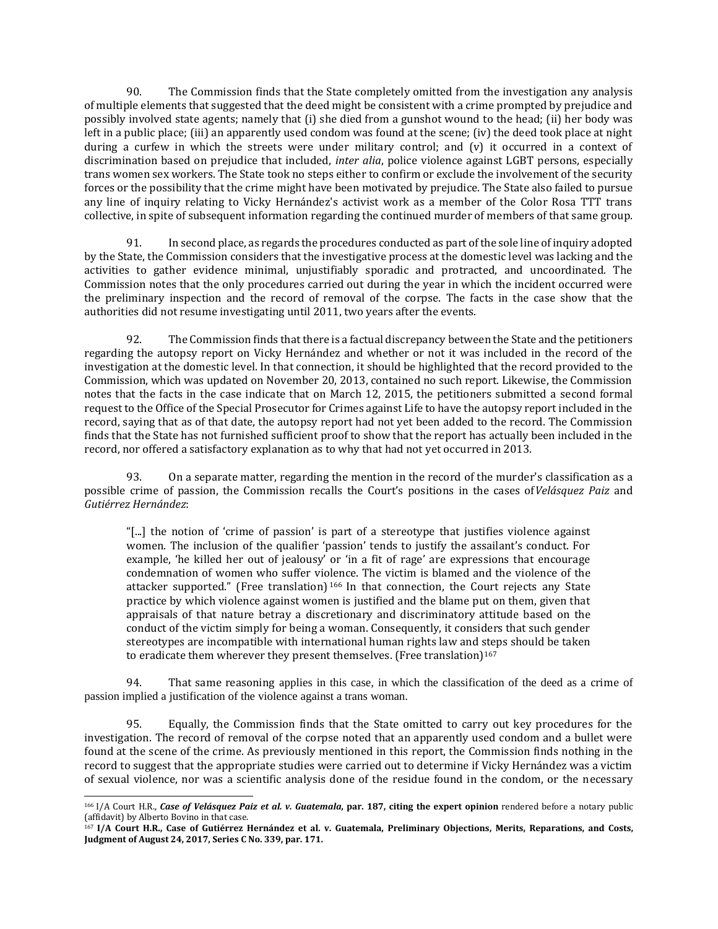90. The Commission finds that the State completely omitted from the investigation any analysis of multiple elements that suggested that the deed might be consistent with a crime prompted by prejudice and possibly involved state agents; namely that (i) she died from a gunshot wound to the head; (ii) her body was left in a public place; (iii) an apparently used condom was found at the scene; (iv) the deed took place at night during a curfew in which the streets were under military control; and (v) it occurred in a context of discrimination based on prejudice that included, *inter alia*, police violence against LGBT persons, especially trans women sex workers. The State took no steps either to confirm or exclude the involvement of the security forces or the possibility that the crime might have been motivated by prejudice. The State also failed to pursue any line of inquiry relating to Vicky Hernández's activist work as a member of the Color Rosa TTT trans collective, in spite of subsequent information regarding the continued murder of members of that same group.

91. In second place, as regards the procedures conducted as part of the sole line of inquiry adopted by the State, the Commission considers that the investigative process at the domestic level was lacking and the activities to gather evidence minimal, unjustifiably sporadic and protracted, and uncoordinated. The Commission notes that the only procedures carried out during the year in which the incident occurred were the preliminary inspection and the record of removal of the corpse. The facts in the case show that the authorities did not resume investigating until 2011, two years after the events.

92. The Commission finds that there is a factual discrepancy between the State and the petitioners regarding the autopsy report on Vicky Hernández and whether or not it was included in the record of the investigation at the domestic level. In that connection, it should be highlighted that the record provided to the Commission, which was updated on November 20, 2013, contained no such report. Likewise, the Commission notes that the facts in the case indicate that on March 12, 2015, the petitioners submitted a second formal request to the Office of the Special Prosecutor for Crimes against Life to have the autopsy report included in the record, saying that as of that date, the autopsy report had not yet been added to the record. The Commission finds that the State has not furnished sufficient proof to show that the report has actually been included in the record, nor offered a satisfactory explanation as to why that had not yet occurred in 2013.

93. On a separate matter, regarding the mention in the record of the murder's classification as a possible crime of passion, the Commission recalls the Court's positions in the cases of*Velásquez Paiz* and *Gutiérrez Hernández*:

"[...] the notion of 'crime of passion' is part of a stereotype that justifies violence against women. The inclusion of the qualifier 'passion' tends to justify the assailant's conduct. For example, 'he killed her out of jealousy' or 'in a fit of rage' are expressions that encourage condemnation of women who suffer violence. The victim is blamed and the violence of the attacker supported." (Free translation)<sup>166</sup> In that connection, the Court rejects any State practice by which violence against women is justified and the blame put on them, given that appraisals of that nature betray a discretionary and discriminatory attitude based on the conduct of the victim simply for being a woman. Consequently, it considers that such gender stereotypes are incompatible with international human rights law and steps should be taken to eradicate them wherever they present themselves. (Free translation)<sup>167</sup>

94. That same reasoning applies in this case, in which the classification of the deed as a crime of passion implied a justification of the violence against a trans woman.

95. Equally, the Commission finds that the State omitted to carry out key procedures for the investigation. The record of removal of the corpse noted that an apparently used condom and a bullet were found at the scene of the crime. As previously mentioned in this report, the Commission finds nothing in the record to suggest that the appropriate studies were carried out to determine if Vicky Hernández was a victim of sexual violence, nor was a scientific analysis done of the residue found in the condom, or the necessary

 $\overline{\phantom{a}}$ <sup>166</sup> I/A Court H.R., Case of Velásquez Paiz et al. v. Guatemala, par. 187, citing the expert opinion rendered before a notary public (affidavit) by Alberto Bovino in that case.

<sup>&</sup>lt;sup>167</sup> I/A Court H.R., Case of Gutiérrez Hernández et al. v. Guatemala, Preliminary Objections, Merits, Reparations, and Costs, **Judgment of August 24, 2017, Series C No. 339, par. 171.**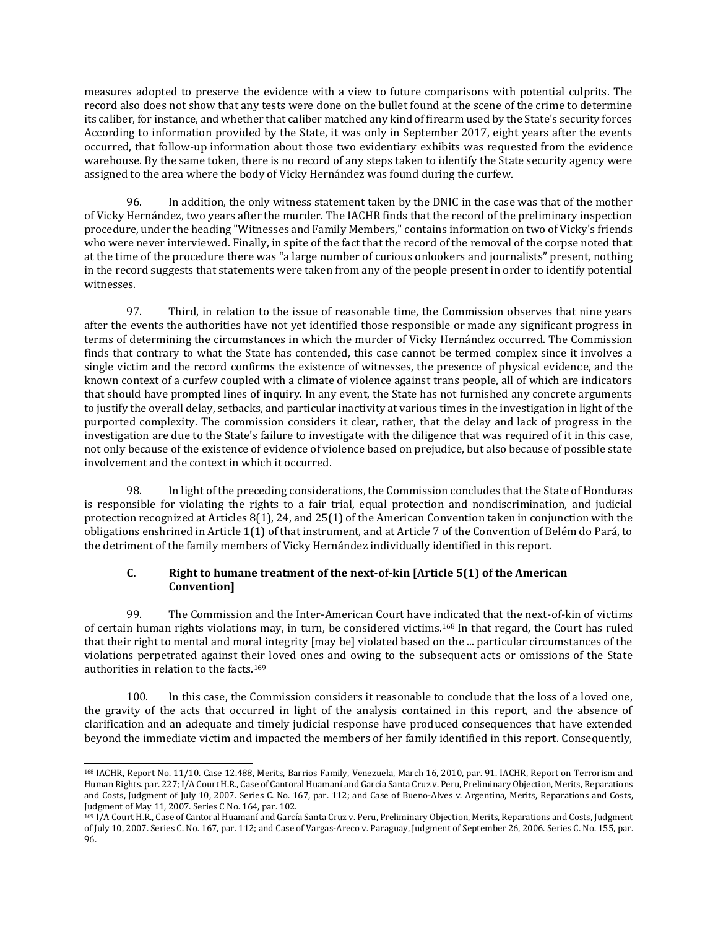measures adopted to preserve the evidence with a view to future comparisons with potential culprits. The record also does not show that any tests were done on the bullet found at the scene of the crime to determine its caliber, for instance, and whether that caliber matched any kind of firearm used by the State's security forces According to information provided by the State, it was only in September 2017, eight years after the events occurred, that follow-up information about those two evidentiary exhibits was requested from the evidence warehouse. By the same token, there is no record of any steps taken to identify the State security agency were assigned to the area where the body of Vicky Hernández was found during the curfew.

96. In addition, the only witness statement taken by the DNIC in the case was that of the mother of Vicky Hernández, two years after the murder. The IACHR finds that the record of the preliminary inspection procedure, under the heading "Witnesses and Family Members," contains information on two of Vicky's friends who were never interviewed. Finally, in spite of the fact that the record of the removal of the corpse noted that at the time of the procedure there was "a large number of curious onlookers and journalists" present, nothing in the record suggests that statements were taken from any of the people present in order to identify potential witnesses.

97. Third, in relation to the issue of reasonable time, the Commission observes that nine years after the events the authorities have not yet identified those responsible or made any significant progress in terms of determining the circumstances in which the murder of Vicky Hernández occurred. The Commission finds that contrary to what the State has contended, this case cannot be termed complex since it involves a single victim and the record confirms the existence of witnesses, the presence of physical evidence, and the known context of a curfew coupled with a climate of violence against trans people, all of which are indicators that should have prompted lines of inquiry. In any event, the State has not furnished any concrete arguments to justify the overall delay, setbacks, and particular inactivity at various times in the investigation in light of the purported complexity. The commission considers it clear, rather, that the delay and lack of progress in the investigation are due to the State's failure to investigate with the diligence that was required of it in this case, not only because of the existence of evidence of violence based on prejudice, but also because of possible state involvement and the context in which it occurred.

98. In light of the preceding considerations, the Commission concludes that the State of Honduras is responsible for violating the rights to a fair trial, equal protection and nondiscrimination, and judicial protection recognized at Articles 8(1), 24, and 25(1) of the American Convention taken in conjunction with the obligations enshrined in Article 1(1) of that instrument, and at Article 7 of the Convention of Belém do Pará, to the detriment of the family members of Vicky Hernández individually identified in this report.

# **C. Right to humane treatment of the next-of-kin [Article 5(1) of the American Convention]**

99. The Commission and the Inter-American Court have indicated that the next-of-kin of victims of certain human rights violations may, in turn, be considered victims.<sup>168</sup> In that regard, the Court has ruled that their right to mental and moral integrity [may be] violated based on the ... particular circumstances of the violations perpetrated against their loved ones and owing to the subsequent acts or omissions of the State authorities in relation to the facts.<sup>169</sup>

100. In this case, the Commission considers it reasonable to conclude that the loss of a loved one, the gravity of the acts that occurred in light of the analysis contained in this report, and the absence of clarification and an adequate and timely judicial response have produced consequences that have extended beyond the immediate victim and impacted the members of her family identified in this report. Consequently,

 $\overline{a}$ 

<sup>168</sup> IACHR, Report No. 11/10. Case 12.488, Merits, Barrios Family, Venezuela, March 16, 2010, par. 91. IACHR, Report on Terrorism and Human Rights. par. 227; I/A Court H.R., Case of Cantoral Huamaní and García Santa Cruz v. Peru, Preliminary Objection, Merits, Reparations and Costs, Judgment of July 10, 2007. Series C. No. 167, par. 112; and Case of Bueno-Alves v. Argentina, Merits, Reparations and Costs, Judgment of May 11, 2007. Series C No. 164, par. 102.

<sup>169</sup> I/A Court H.R., Case of Cantoral Huamaní and García Santa Cruz v. Peru, Preliminary Objection, Merits, Reparations and Costs, Judgment of July 10, 2007. Series C. No. 167, par. 112; and Case of Vargas-Areco v. Paraguay, Judgment of September 26, 2006. Series C. No. 155, par. 96.